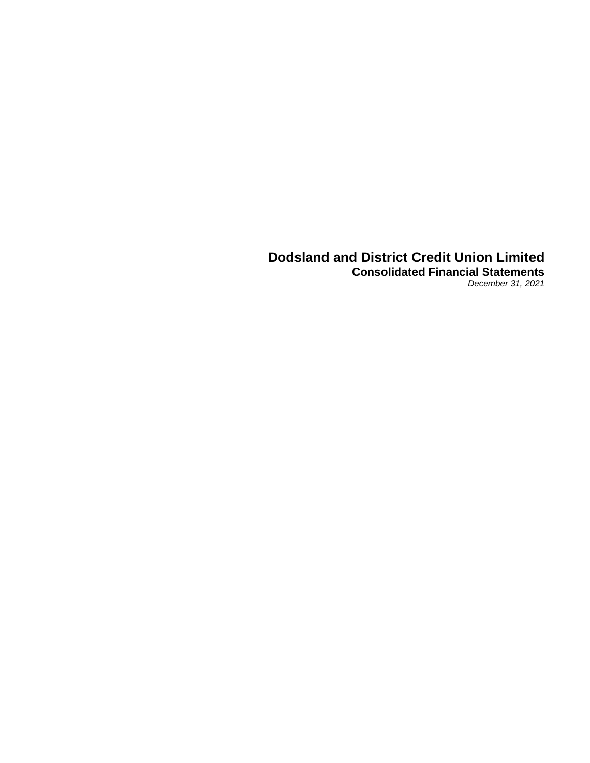## **Dodsland and District Credit Union Limited Consolidated Financial Statements** *December 31, 2021*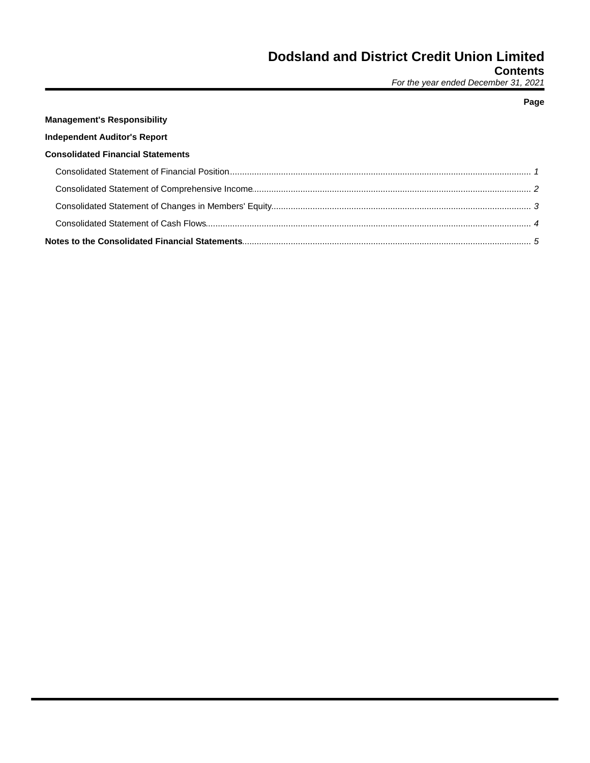## **Contents**

For the year ended December 31, 2021

|                                          | rage |
|------------------------------------------|------|
| <b>Management's Responsibility</b>       |      |
| <b>Independent Auditor's Report</b>      |      |
| <b>Consolidated Financial Statements</b> |      |
|                                          |      |
|                                          |      |
|                                          |      |
|                                          |      |
|                                          |      |

## **D**ane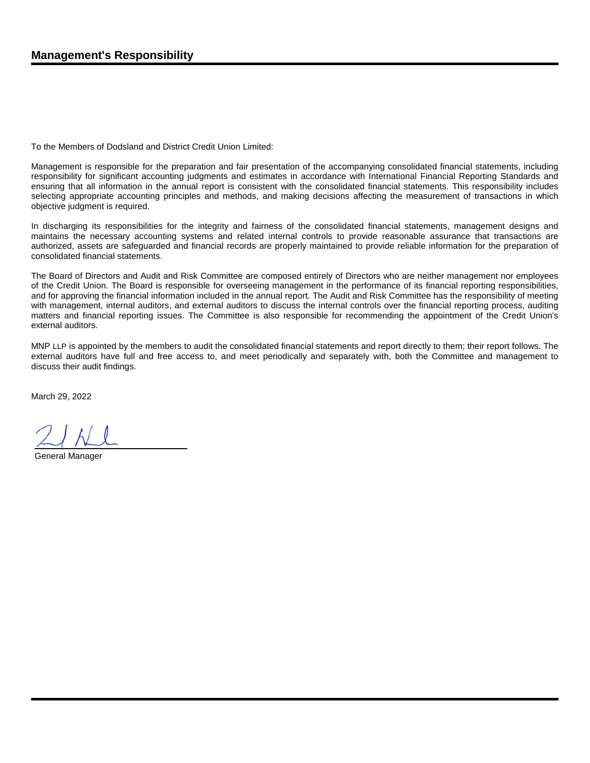To the Members of Dodsland and District Credit Union Limited:

Management is responsible for the preparation and fair presentation of the accompanying consolidated financial statements, including responsibility for significant accounting judgments and estimates in accordance with International Financial Reporting Standards and ensuring that all information in the annual report is consistent with the consolidated financial statements. This responsibility includes selecting appropriate accounting principles and methods, and making decisions affecting the measurement of transactions in which objective judgment is required.

In discharging its responsibilities for the integrity and fairness of the consolidated financial statements, management designs and maintains the necessary accounting systems and related internal controls to provide reasonable assurance that transactions are authorized, assets are safeguarded and financial records are properly maintained to provide reliable information for the preparation of consolidated financial statements.

The Board of Directors and Audit and Risk Committee are composed entirely of Directors who are neither management nor employees of the Credit Union. The Board is responsible for overseeing management in the performance of its financial reporting responsibilities, and for approving the financial information included in the annual report. The Audit and Risk Committee has the responsibility of meeting with management, internal auditors, and external auditors to discuss the internal controls over the financial reporting process, auditing matters and financial reporting issues. The Committee is also responsible for recommending the appointment of the Credit Union's external auditors.

MNP LLP is appointed by the members to audit the consolidated financial statements and report directly to them; their report follows. The external auditors have full and free access to, and meet periodically and separately with, both the Committee and management to discuss their audit findings.

March 29, 2022

**General Manager**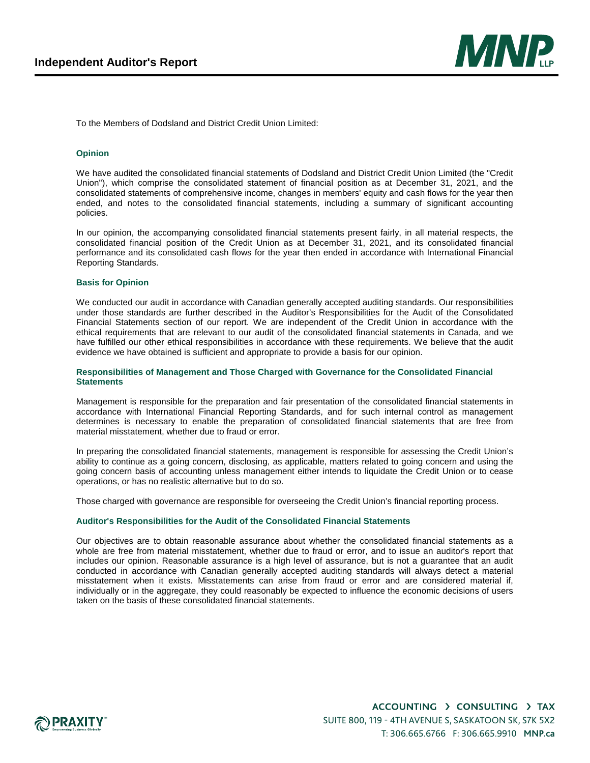

To the Members of Dodsland and District Credit Union Limited:

## **Opinion**

We have audited the consolidated financial statements of Dodsland and District Credit Union Limited (the "Credit Union"), which comprise the consolidated statement of financial position as at December 31, 2021, and the consolidated statements of comprehensive income, changes in members' equity and cash flows for the year then ended, and notes to the consolidated financial statements, including a summary of significant accounting policies.

In our opinion, the accompanying consolidated financial statements present fairly, in all material respects, the consolidated financial position of the Credit Union as at December 31, 2021, and its consolidated financial performance and its consolidated cash flows for the year then ended in accordance with International Financial Reporting Standards.

## **Basis for Opinion**

We conducted our audit in accordance with Canadian generally accepted auditing standards. Our responsibilities under those standards are further described in the Auditor's Responsibilities for the Audit of the Consolidated Financial Statements section of our report. We are independent of the Credit Union in accordance with the ethical requirements that are relevant to our audit of the consolidated financial statements in Canada, and we have fulfilled our other ethical responsibilities in accordance with these requirements. We believe that the audit evidence we have obtained is sufficient and appropriate to provide a basis for our opinion.

## **Responsibilities of Management and Those Charged with Governance for the Consolidated Financial Statements**

Management is responsible for the preparation and fair presentation of the consolidated financial statements in accordance with International Financial Reporting Standards, and for such internal control as management determines is necessary to enable the preparation of consolidated financial statements that are free from material misstatement, whether due to fraud or error.

In preparing the consolidated financial statements, management is responsible for assessing the Credit Union's ability to continue as a going concern, disclosing, as applicable, matters related to going concern and using the going concern basis of accounting unless management either intends to liquidate the Credit Union or to cease operations, or has no realistic alternative but to do so.

Those charged with governance are responsible for overseeing the Credit Union's financial reporting process.

### **Auditor's Responsibilities for the Audit of the Consolidated Financial Statements**

Our objectives are to obtain reasonable assurance about whether the consolidated financial statements as a whole are free from material misstatement, whether due to fraud or error, and to issue an auditor's report that includes our opinion. Reasonable assurance is a high level of assurance, but is not a guarantee that an audit conducted in accordance with Canadian generally accepted auditing standards will always detect a material misstatement when it exists. Misstatements can arise from fraud or error and are considered material if, individually or in the aggregate, they could reasonably be expected to influence the economic decisions of users taken on the basis of these consolidated financial statements.

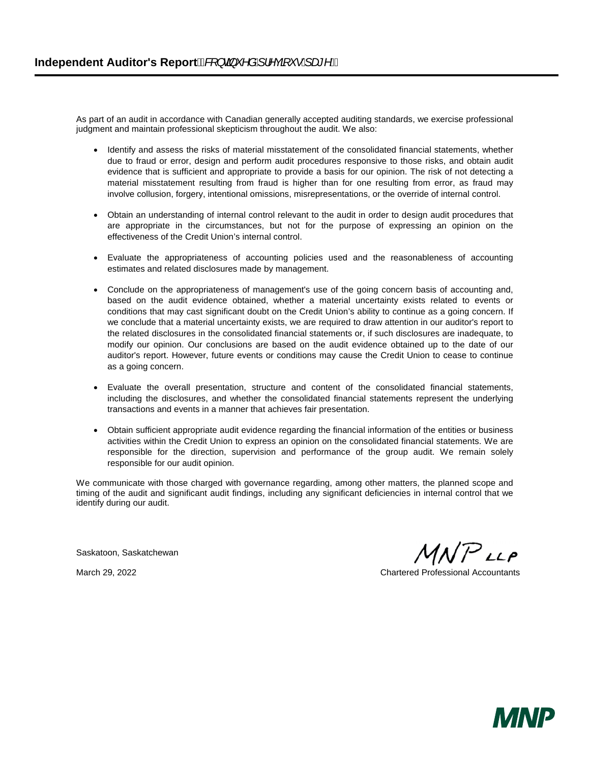As part of an audit in accordance with Canadian generally accepted auditing standards, we exercise professional judgment and maintain professional skepticism throughout the audit. We also:

- Identify and assess the risks of material misstatement of the consolidated financial statements, whether due to fraud or error, design and perform audit procedures responsive to those risks, and obtain audit evidence that is sufficient and appropriate to provide a basis for our opinion. The risk of not detecting a material misstatement resulting from fraud is higher than for one resulting from error, as fraud may involve collusion, forgery, intentional omissions, misrepresentations, or the override of internal control.
- Obtain an understanding of internal control relevant to the audit in order to design audit procedures that are appropriate in the circumstances, but not for the purpose of expressing an opinion on the effectiveness of the Credit Union's internal control.
- Evaluate the appropriateness of accounting policies used and the reasonableness of accounting estimates and related disclosures made by management.
- Conclude on the appropriateness of management's use of the going concern basis of accounting and, based on the audit evidence obtained, whether a material uncertainty exists related to events or conditions that may cast significant doubt on the Credit Union's ability to continue as a going concern. If we conclude that a material uncertainty exists, we are required to draw attention in our auditor's report to the related disclosures in the consolidated financial statements or, if such disclosures are inadequate, to modify our opinion. Our conclusions are based on the audit evidence obtained up to the date of our auditor's report. However, future events or conditions may cause the Credit Union to cease to continue as a going concern.
- Evaluate the overall presentation, structure and content of the consolidated financial statements, including the disclosures, and whether the consolidated financial statements represent the underlying transactions and events in a manner that achieves fair presentation.
- Obtain sufficient appropriate audit evidence regarding the financial information of the entities or business activities within the Credit Union to express an opinion on the consolidated financial statements. We are responsible for the direction, supervision and performance of the group audit. We remain solely responsible for our audit opinion.

We communicate with those charged with governance regarding, among other matters, the planned scope and timing of the audit and significant audit findings, including any significant deficiencies in internal control that we identify during our audit.

Saskatoon, Saskatchewan

 $MNP$ LLP

March 29, 2022 Chartered Professional Accountants

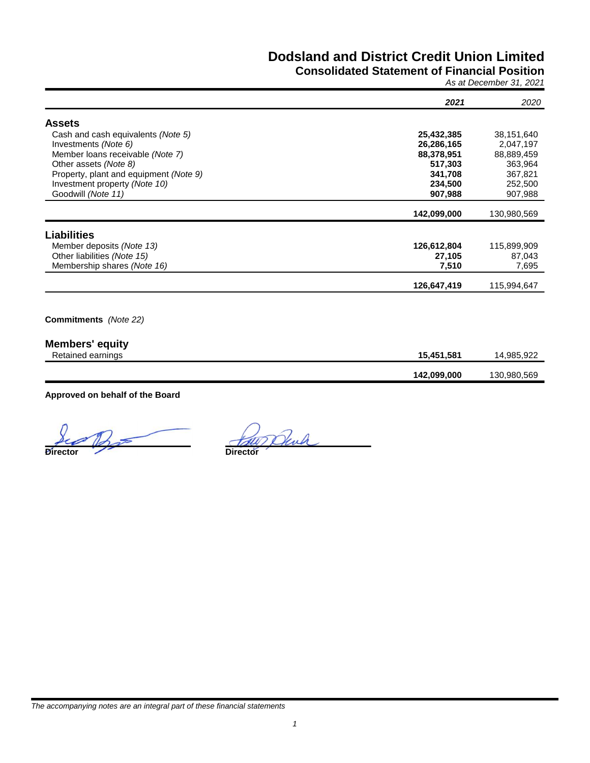## **Consolidated Statement of Financial Position**

*As at December 31, 2021*

|                                        | 2021        | 2020        |
|----------------------------------------|-------------|-------------|
| <b>Assets</b>                          |             |             |
| Cash and cash equivalents (Note 5)     | 25,432,385  | 38,151,640  |
| Investments (Note 6)                   | 26,286,165  | 2,047,197   |
| Member loans receivable (Note 7)       | 88,378,951  | 88,889,459  |
| Other assets (Note 8)                  | 517,303     | 363,964     |
| Property, plant and equipment (Note 9) | 341,708     | 367,821     |
| Investment property (Note 10)          | 234,500     | 252,500     |
| Goodwill (Note 11)                     | 907,988     | 907,988     |
|                                        | 142,099,000 | 130,980,569 |
| <b>Liabilities</b>                     |             |             |
| Member deposits (Note 13)              | 126,612,804 | 115,899,909 |
| Other liabilities (Note 15)            | 27,105      | 87,043      |
| Membership shares (Note 16)            | 7,510       | 7,695       |
|                                        | 126,647,419 | 115,994,647 |
|                                        |             |             |
| <b>Commitments</b> (Note 22)           |             |             |
| <b>Members' equity</b>                 |             |             |
| Retained earnings                      | 15,451,581  | 14,985,922  |
|                                        | 142,099,000 | 130,980,569 |

**Approved on behalf of the Board**

**Director Director** 

Deul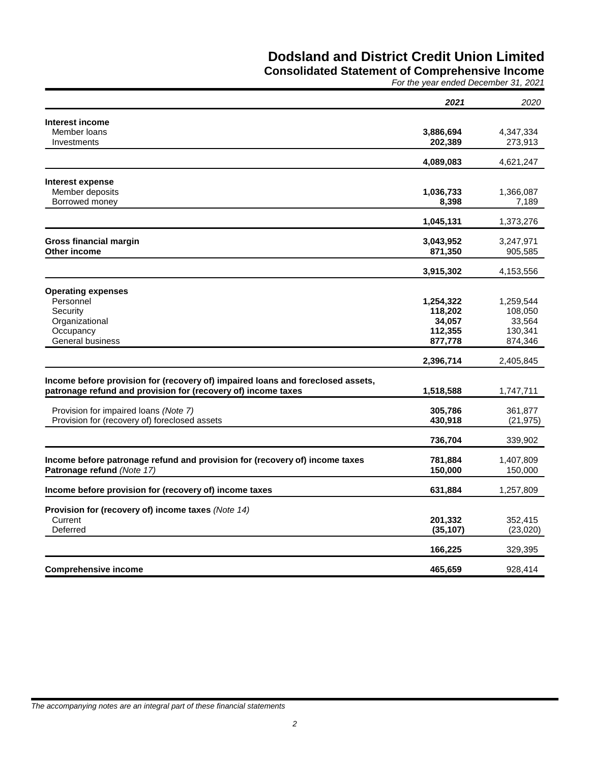## **Consolidated Statement of Comprehensive Income**

*For the year ended December 31, 2021*

|                                                                                                                                                  | 2021                                                 | 2020                                                 |
|--------------------------------------------------------------------------------------------------------------------------------------------------|------------------------------------------------------|------------------------------------------------------|
| Interest income<br>Member Ioans                                                                                                                  | 3,886,694                                            | 4,347,334                                            |
| Investments                                                                                                                                      | 202,389                                              | 273,913                                              |
|                                                                                                                                                  | 4,089,083                                            | 4,621,247                                            |
| Interest expense<br>Member deposits<br>Borrowed money                                                                                            | 1,036,733<br>8,398                                   | 1,366,087<br>7,189                                   |
|                                                                                                                                                  | 1,045,131                                            | 1,373,276                                            |
| <b>Gross financial margin</b><br>Other income                                                                                                    | 3,043,952<br>871,350                                 | 3,247,971<br>905,585                                 |
|                                                                                                                                                  | 3,915,302                                            | 4,153,556                                            |
| <b>Operating expenses</b><br>Personnel<br>Security<br>Organizational<br>Occupancy<br>General business                                            | 1,254,322<br>118,202<br>34,057<br>112,355<br>877,778 | 1,259,544<br>108,050<br>33,564<br>130,341<br>874,346 |
|                                                                                                                                                  | 2,396,714                                            | 2,405,845                                            |
| Income before provision for (recovery of) impaired loans and foreclosed assets,<br>patronage refund and provision for (recovery of) income taxes | 1,518,588                                            | 1,747,711                                            |
| Provision for impaired loans (Note 7)<br>Provision for (recovery of) foreclosed assets                                                           | 305,786<br>430,918                                   | 361,877<br>(21, 975)                                 |
|                                                                                                                                                  | 736,704                                              | 339,902                                              |
| Income before patronage refund and provision for (recovery of) income taxes<br>Patronage refund (Note 17)                                        | 781,884<br>150,000                                   | 1,407,809<br>150,000                                 |
| Income before provision for (recovery of) income taxes                                                                                           | 631,884                                              | 1,257,809                                            |
| Provision for (recovery of) income taxes (Note 14)<br>Current<br>Deferred                                                                        | 201,332<br>(35, 107)                                 | 352,415<br>(23,020)                                  |
|                                                                                                                                                  | 166,225                                              | 329,395                                              |
| <b>Comprehensive income</b>                                                                                                                      | 465.659                                              | 928,414                                              |

*The accompanying notes are an integral part of these financial statements*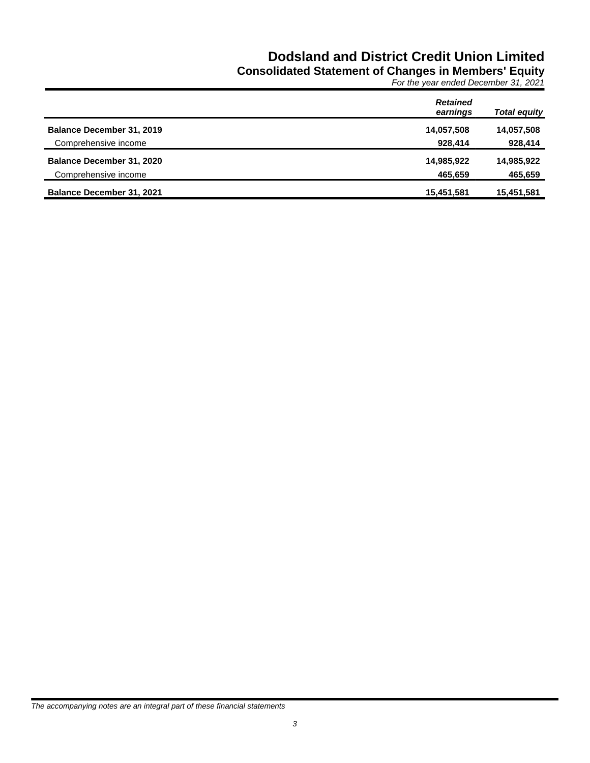## **Consolidated Statement of Changes in Members' Equity**

*For the year ended December 31, 2021*

|                                  | <b>Retained</b><br>earnings | <b>Total equity</b> |
|----------------------------------|-----------------------------|---------------------|
| <b>Balance December 31, 2019</b> | 14,057,508                  | 14,057,508          |
| Comprehensive income             | 928,414                     | 928,414             |
| <b>Balance December 31, 2020</b> | 14,985,922                  | 14,985,922          |
| Comprehensive income             | 465,659                     | 465,659             |
| <b>Balance December 31, 2021</b> | 15,451,581                  | 15,451,581          |

*The accompanying notes are an integral part of these financial statements*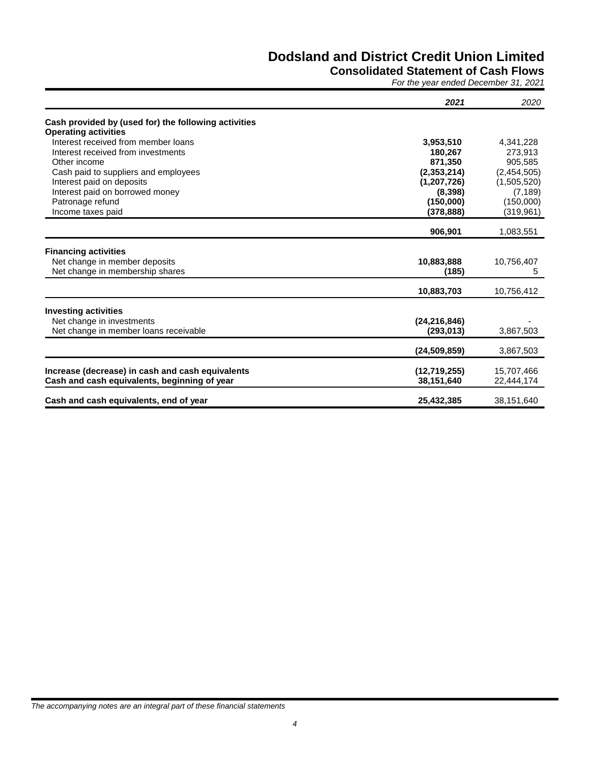## **Consolidated Statement of Cash Flows**

*For the year ended December 31, 2021*

|                                                          | 2021           | 2020        |
|----------------------------------------------------------|----------------|-------------|
| Cash provided by (used for) the following activities     |                |             |
| <b>Operating activities</b>                              |                |             |
| Interest received from member loans                      | 3,953,510      | 4,341,228   |
| Interest received from investments                       | 180,267        | 273,913     |
| Other income                                             | 871.350        | 905,585     |
| Cash paid to suppliers and employees                     | (2, 353, 214)  | (2,454,505) |
| Interest paid on deposits                                | (1,207,726)    | (1,505,520) |
| Interest paid on borrowed money                          | (8, 398)       | (7, 189)    |
| Patronage refund                                         | (150,000)      | (150,000)   |
| Income taxes paid                                        | (378,888)      | (319,961)   |
|                                                          | 906,901        | 1,083,551   |
|                                                          |                |             |
| <b>Financing activities</b>                              |                |             |
| Net change in member deposits                            | 10,883,888     | 10,756,407  |
| Net change in membership shares                          | (185)          | 5           |
|                                                          | 10,883,703     | 10,756,412  |
|                                                          |                |             |
| <b>Investing activities</b><br>Net change in investments | (24, 216, 846) |             |
| Net change in member loans receivable                    | (293, 013)     | 3,867,503   |
|                                                          |                |             |
|                                                          | (24, 509, 859) | 3,867,503   |
| Increase (decrease) in cash and cash equivalents         | (12,719,255)   | 15,707,466  |
| Cash and cash equivalents, beginning of year             | 38,151,640     | 22,444,174  |
|                                                          |                |             |
| Cash and cash equivalents, end of year                   | 25,432,385     | 38,151,640  |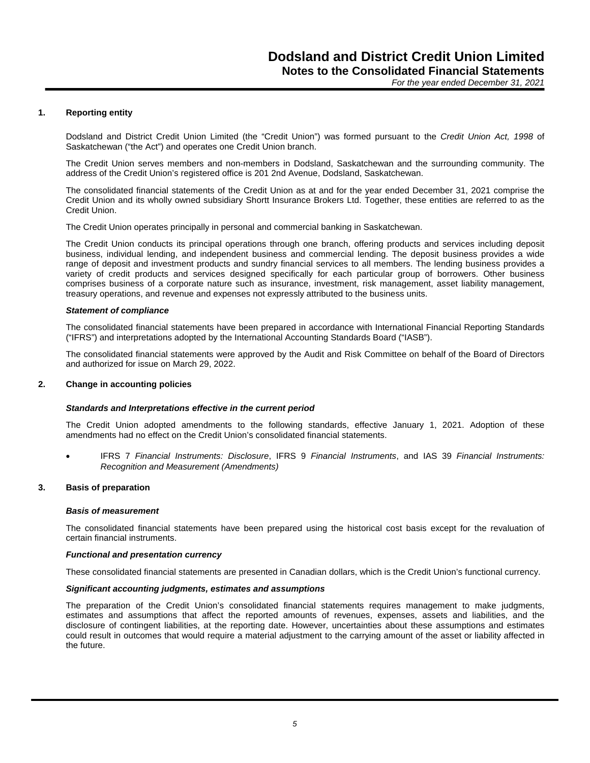#### **1. Reporting entity**

Dodsland and District Credit Union Limited (the "Credit Union") was formed pursuant to the *Credit Union Act, 1998* of Saskatchewan ("the Act") and operates one Credit Union branch.

The Credit Union serves members and non-members in Dodsland, Saskatchewan and the surrounding community. The address of the Credit Union's registered office is 201 2nd Avenue, Dodsland, Saskatchewan.

The consolidated financial statements of the Credit Union as at and for the year ended December 31, 2021 comprise the Credit Union and its wholly owned subsidiary Shortt Insurance Brokers Ltd. Together, these entities are referred to as the Credit Union.

The Credit Union operates principally in personal and commercial banking in Saskatchewan.

The Credit Union conducts its principal operations through one branch, offering products and services including deposit business, individual lending, and independent business and commercial lending. The deposit business provides a wide range of deposit and investment products and sundry financial services to all members. The lending business provides a variety of credit products and services designed specifically for each particular group of borrowers. Other business comprises business of a corporate nature such as insurance, investment, risk management, asset liability management, treasury operations, and revenue and expenses not expressly attributed to the business units.

#### *Statement of compliance*

The consolidated financial statements have been prepared in accordance with International Financial Reporting Standards ("IFRS") and interpretations adopted by the International Accounting Standards Board ("IASB").

The consolidated financial statements were approved by the Audit and Risk Committee on behalf of the Board of Directors and authorized for issue on March 29, 2022.

#### **2. Change in accounting policies**

### *Standards and Interpretations effective in the current period*

The Credit Union adopted amendments to the following standards, effective January 1, 2021. Adoption of these amendments had no effect on the Credit Union's consolidated financial statements.

 $\bullet$ IFRS 7 *Financial Instruments: Disclosure*, IFRS 9 *Financial Instruments*, and IAS 39 *Financial Instruments: Recognition and Measurement (Amendments)*

## **3. Basis of preparation**

#### *Basis of measurement*

The consolidated financial statements have been prepared using the historical cost basis except for the revaluation of certain financial instruments.

## *Functional and presentation currency*

These consolidated financial statements are presented in Canadian dollars, which is the Credit Union's functional currency.

### *Significant accounting judgments, estimates and assumptions*

The preparation of the Credit Union's consolidated financial statements requires management to make judgments, estimates and assumptions that affect the reported amounts of revenues, expenses, assets and liabilities, and the disclosure of contingent liabilities, at the reporting date. However, uncertainties about these assumptions and estimates could result in outcomes that would require a material adjustment to the carrying amount of the asset or liability affected in the future.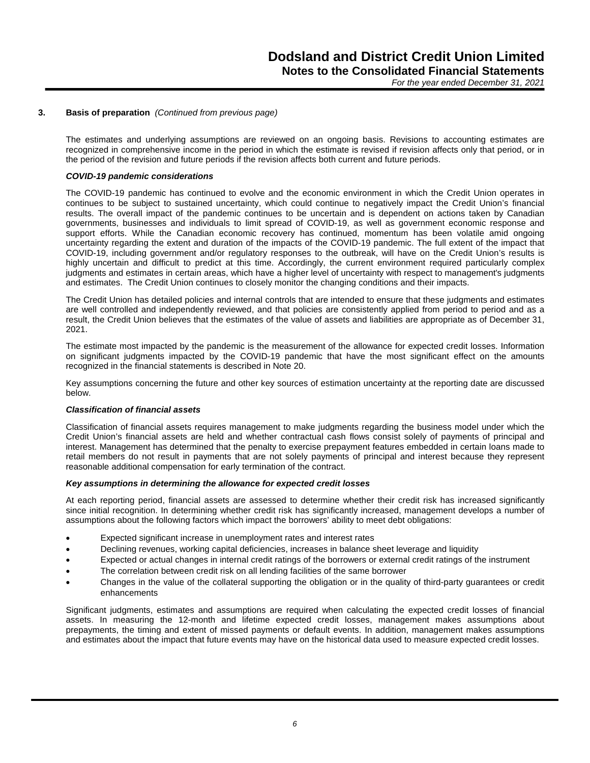## **3. Basis of preparation** *(Continued from previous page)*

The estimates and underlying assumptions are reviewed on an ongoing basis. Revisions to accounting estimates are recognized in comprehensive income in the period in which the estimate is revised if revision affects only that period, or in the period of the revision and future periods if the revision affects both current and future periods.

## *COVID-19 pandemic considerations*

The COVID-19 pandemic has continued to evolve and the economic environment in which the Credit Union operates in continues to be subject to sustained uncertainty, which could continue to negatively impact the Credit Union's financial results. The overall impact of the pandemic continues to be uncertain and is dependent on actions taken by Canadian governments, businesses and individuals to limit spread of COVID-19, as well as government economic response and support efforts. While the Canadian economic recovery has continued, momentum has been volatile amid ongoing uncertainty regarding the extent and duration of the impacts of the COVID-19 pandemic. The full extent of the impact that COVID-19, including government and/or regulatory responses to the outbreak, will have on the Credit Union's results is highly uncertain and difficult to predict at this time. Accordingly, the current environment required particularly complex judgments and estimates in certain areas, which have a higher level of uncertainty with respect to management's judgments and estimates. The Credit Union continues to closely monitor the changing conditions and their impacts.

The Credit Union has detailed policies and internal controls that are intended to ensure that these judgments and estimates are well controlled and independently reviewed, and that policies are consistently applied from period to period and as a result, the Credit Union believes that the estimates of the value of assets and liabilities are appropriate as of December 31, 2021.

The estimate most impacted by the pandemic is the measurement of the allowance for expected credit losses. Information on significant judgments impacted by the COVID-19 pandemic that have the most significant effect on the amounts recognized in the financial statements is described in Note 20.

Key assumptions concerning the future and other key sources of estimation uncertainty at the reporting date are discussed below.

## *Classification of financial assets*

Classification of financial assets requires management to make judgments regarding the business model under which the Credit Union's financial assets are held and whether contractual cash flows consist solely of payments of principal and interest. Management has determined that the penalty to exercise prepayment features embedded in certain loans made to retail members do not result in payments that are not solely payments of principal and interest because they represent reasonable additional compensation for early termination of the contract.

## *Key assumptions in determining the allowance for expected credit losses*

At each reporting period, financial assets are assessed to determine whether their credit risk has increased significantly since initial recognition. In determining whether credit risk has significantly increased, management develops a number of assumptions about the following factors which impact the borrowers' ability to meet debt obligations:

- Expected significant increase in unemployment rates and interest rates
- Declining revenues, working capital deficiencies, increases in balance sheet leverage and liquidity
- Expected or actual changes in internal credit ratings of the borrowers or external credit ratings of the instrument
- The correlation between credit risk on all lending facilities of the same borrower
- Changes in the value of the collateral supporting the obligation or in the quality of third-party guarantees or credit enhancements

Significant judgments, estimates and assumptions are required when calculating the expected credit losses of financial assets. In measuring the 12-month and lifetime expected credit losses, management makes assumptions about prepayments, the timing and extent of missed payments or default events. In addition, management makes assumptions and estimates about the impact that future events may have on the historical data used to measure expected credit losses.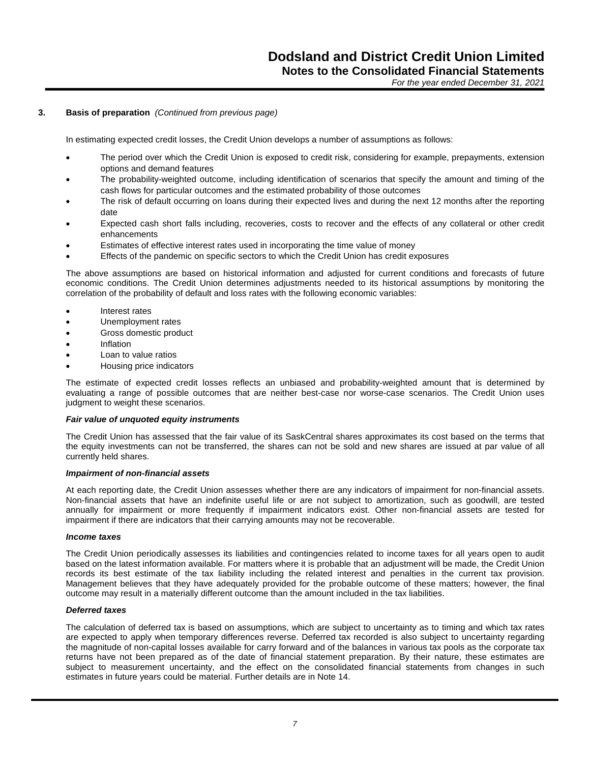## **3. Basis of preparation** *(Continued from previous page)*

In estimating expected credit losses, the Credit Union develops a number of assumptions as follows:

- The period over which the Credit Union is exposed to credit risk, considering for example, prepayments, extension options and demand features
- The probability-weighted outcome, including identification of scenarios that specify the amount and timing of the cash flows for particular outcomes and the estimated probability of those outcomes
- The risk of default occurring on loans during their expected lives and during the next 12 months after the reporting date
- Expected cash short falls including, recoveries, costs to recover and the effects of any collateral or other credit enhancements
- Estimates of effective interest rates used in incorporating the time value of money
- Effects of the pandemic on specific sectors to which the Credit Union has credit exposures

The above assumptions are based on historical information and adjusted for current conditions and forecasts of future economic conditions. The Credit Union determines adjustments needed to its historical assumptions by monitoring the correlation of the probability of default and loss rates with the following economic variables:

- Interest rates
- Unemployment rates
- Gross domestic product
- Inflation
- Loan to value ratios
- Housing price indicators

The estimate of expected credit losses reflects an unbiased and probability-weighted amount that is determined by evaluating a range of possible outcomes that are neither best-case nor worse-case scenarios. The Credit Union uses judgment to weight these scenarios.

### *Fair value of unquoted equity instruments*

The Credit Union has assessed that the fair value of its SaskCentral shares approximates its cost based on the terms that the equity investments can not be transferred, the shares can not be sold and new shares are issued at par value of all currently held shares.

### *Impairment of non-financial assets*

At each reporting date, the Credit Union assesses whether there are any indicators of impairment for non-financial assets. Non-financial assets that have an indefinite useful life or are not subject to amortization, such as goodwill, are tested annually for impairment or more frequently if impairment indicators exist. Other non-financial assets are tested for impairment if there are indicators that their carrying amounts may not be recoverable.

## *Income taxes*

The Credit Union periodically assesses its liabilities and contingencies related to income taxes for all years open to audit based on the latest information available. For matters where it is probable that an adjustment will be made, the Credit Union records its best estimate of the tax liability including the related interest and penalties in the current tax provision. Management believes that they have adequately provided for the probable outcome of these matters; however, the final outcome may result in a materially different outcome than the amount included in the tax liabilities.

### *Deferred taxes*

The calculation of deferred tax is based on assumptions, which are subject to uncertainty as to timing and which tax rates are expected to apply when temporary differences reverse. Deferred tax recorded is also subject to uncertainty regarding the magnitude of non-capital losses available for carry forward and of the balances in various tax pools as the corporate tax returns have not been prepared as of the date of financial statement preparation. By their nature, these estimates are subject to measurement uncertainty, and the effect on the consolidated financial statements from changes in such estimates in future years could be material. Further details are in Note 14.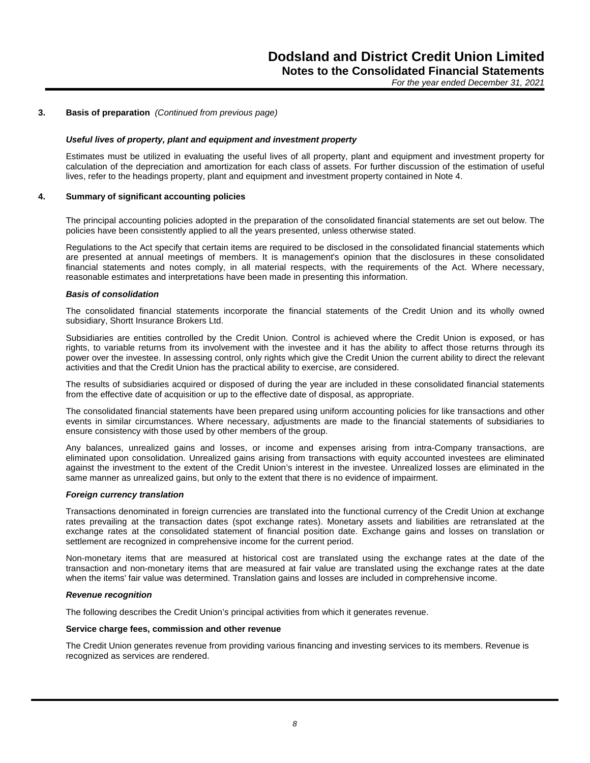## **3. Basis of preparation** *(Continued from previous page)*

#### *Useful lives of property, plant and equipment and investment property*

Estimates must be utilized in evaluating the useful lives of all property, plant and equipment and investment property for calculation of the depreciation and amortization for each class of assets. For further discussion of the estimation of useful lives, refer to the headings property, plant and equipment and investment property contained in Note 4.

#### **4. Summary of significant accounting policies**

The principal accounting policies adopted in the preparation of the consolidated financial statements are set out below. The policies have been consistently applied to all the years presented, unless otherwise stated.

Regulations to the Act specify that certain items are required to be disclosed in the consolidated financial statements which are presented at annual meetings of members. It is management's opinion that the disclosures in these consolidated financial statements and notes comply, in all material respects, with the requirements of the Act. Where necessary, reasonable estimates and interpretations have been made in presenting this information.

#### *Basis of consolidation*

The consolidated financial statements incorporate the financial statements of the Credit Union and its wholly owned subsidiary, Shortt Insurance Brokers Ltd.

Subsidiaries are entities controlled by the Credit Union. Control is achieved where the Credit Union is exposed, or has rights, to variable returns from its involvement with the investee and it has the ability to affect those returns through its power over the investee. In assessing control, only rights which give the Credit Union the current ability to direct the relevant activities and that the Credit Union has the practical ability to exercise, are considered.

The results of subsidiaries acquired or disposed of during the year are included in these consolidated financial statements from the effective date of acquisition or up to the effective date of disposal, as appropriate.

The consolidated financial statements have been prepared using uniform accounting policies for like transactions and other events in similar circumstances. Where necessary, adjustments are made to the financial statements of subsidiaries to ensure consistency with those used by other members of the group.

Any balances, unrealized gains and losses, or income and expenses arising from intra-Company transactions, are eliminated upon consolidation. Unrealized gains arising from transactions with equity accounted investees are eliminated against the investment to the extent of the Credit Union's interest in the investee. Unrealized losses are eliminated in the same manner as unrealized gains, but only to the extent that there is no evidence of impairment.

## *Foreign currency translation*

Transactions denominated in foreign currencies are translated into the functional currency of the Credit Union at exchange rates prevailing at the transaction dates (spot exchange rates). Monetary assets and liabilities are retranslated at the exchange rates at the consolidated statement of financial position date. Exchange gains and losses on translation or settlement are recognized in comprehensive income for the current period.

Non-monetary items that are measured at historical cost are translated using the exchange rates at the date of the transaction and non-monetary items that are measured at fair value are translated using the exchange rates at the date when the items' fair value was determined. Translation gains and losses are included in comprehensive income.

#### *Revenue recognition*

The following describes the Credit Union's principal activities from which it generates revenue.

## **Service charge fees, commission and other revenue**

The Credit Union generates revenue from providing various financing and investing services to its members. Revenue is recognized as services are rendered.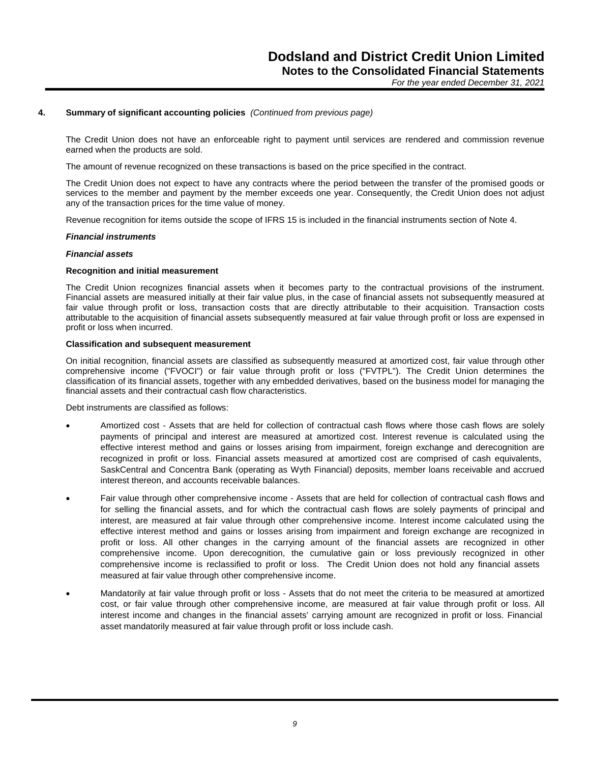## **4. Summary of significant accounting policies** *(Continued from previous page)*

The Credit Union does not have an enforceable right to payment until services are rendered and commission revenue earned when the products are sold.

The amount of revenue recognized on these transactions is based on the price specified in the contract.

The Credit Union does not expect to have any contracts where the period between the transfer of the promised goods or services to the member and payment by the member exceeds one year. Consequently, the Credit Union does not adjust any of the transaction prices for the time value of money.

Revenue recognition for items outside the scope of IFRS 15 is included in the financial instruments section of Note 4.

## *Financial instruments*

## *Financial assets*

### **Recognition and initial measurement**

The Credit Union recognizes financial assets when it becomes party to the contractual provisions of the instrument. Financial assets are measured initially at their fair value plus, in the case of financial assets not subsequently measured at fair value through profit or loss, transaction costs that are directly attributable to their acquisition. Transaction costs attributable to the acquisition of financial assets subsequently measured at fair value through profit or loss are expensed in profit or loss when incurred.

## **Classification and subsequent measurement**

On initial recognition, financial assets are classified as subsequently measured at amortized cost, fair value through other comprehensive income ("FVOCI") or fair value through profit or loss ("FVTPL"). The Credit Union determines the classification of its financial assets, together with any embedded derivatives, based on the business model for managing the financial assets and their contractual cash flow characteristics.

Debt instruments are classified as follows:

- Amortized cost Assets that are held for collection of contractual cash flows where those cash flows are solely payments of principal and interest are measured at amortized cost. Interest revenue is calculated using the effective interest method and gains or losses arising from impairment, foreign exchange and derecognition are recognized in profit or loss. Financial assets measured at amortized cost are comprised of cash equivalents, SaskCentral and Concentra Bank (operating as Wyth Financial) deposits, member loans receivable and accrued interest thereon, and accounts receivable balances.
- Fair value through other comprehensive income Assets that are held for collection of contractual cash flows and for selling the financial assets, and for which the contractual cash flows are solely payments of principal and interest, are measured at fair value through other comprehensive income. Interest income calculated using the effective interest method and gains or losses arising from impairment and foreign exchange are recognized in profit or loss. All other changes in the carrying amount of the financial assets are recognized in other comprehensive income. Upon derecognition, the cumulative gain or loss previously recognized in other comprehensive income is reclassified to profit or loss. The Credit Union does not hold any financial assets measured at fair value through other comprehensive income.
- Mandatorily at fair value through profit or loss Assets that do not meet the criteria to be measured at amortized cost, or fair value through other comprehensive income, are measured at fair value through profit or loss. All interest income and changes in the financial assets' carrying amount are recognized in profit or loss. Financial asset mandatorily measured at fair value through profit or loss include cash.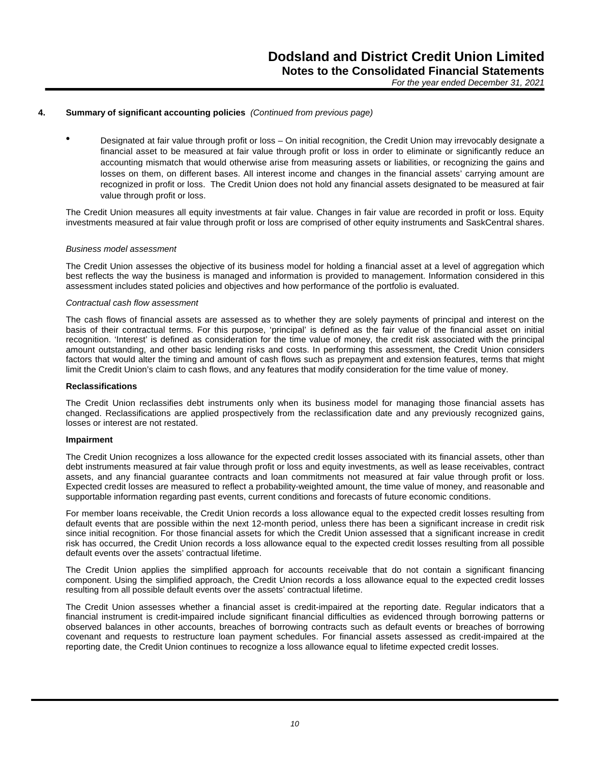Designated at fair value through profit or loss – On initial recognition, the Credit Union may irrevocably designate a financial asset to be measured at fair value through profit or loss in order to eliminate or significantly reduce an accounting mismatch that would otherwise arise from measuring assets or liabilities, or recognizing the gains and losses on them, on different bases. All interest income and changes in the financial assets' carrying amount are recognized in profit or loss. The Credit Union does not hold any financial assets designated to be measured at fair value through profit or loss.

The Credit Union measures all equity investments at fair value. Changes in fair value are recorded in profit or loss. Equity investments measured at fair value through profit or loss are comprised of other equity instruments and SaskCentral shares.

## *Business model assessment*

The Credit Union assesses the objective of its business model for holding a financial asset at a level of aggregation which best reflects the way the business is managed and information is provided to management. Information considered in this assessment includes stated policies and objectives and how performance of the portfolio is evaluated.

### *Contractual cash flow assessment*

The cash flows of financial assets are assessed as to whether they are solely payments of principal and interest on the basis of their contractual terms. For this purpose, 'principal' is defined as the fair value of the financial asset on initial recognition. 'Interest' is defined as consideration for the time value of money, the credit risk associated with the principal amount outstanding, and other basic lending risks and costs. In performing this assessment, the Credit Union considers factors that would alter the timing and amount of cash flows such as prepayment and extension features, terms that might limit the Credit Union's claim to cash flows, and any features that modify consideration for the time value of money.

### **Reclassifications**

The Credit Union reclassifies debt instruments only when its business model for managing those financial assets has changed. Reclassifications are applied prospectively from the reclassification date and any previously recognized gains, losses or interest are not restated.

### **Impairment**

The Credit Union recognizes a loss allowance for the expected credit losses associated with its financial assets, other than debt instruments measured at fair value through profit or loss and equity investments, as well as lease receivables, contract assets, and any financial guarantee contracts and loan commitments not measured at fair value through profit or loss. Expected credit losses are measured to reflect a probability-weighted amount, the time value of money, and reasonable and supportable information regarding past events, current conditions and forecasts of future economic conditions.

For member loans receivable, the Credit Union records a loss allowance equal to the expected credit losses resulting from default events that are possible within the next 12-month period, unless there has been a significant increase in credit risk since initial recognition. For those financial assets for which the Credit Union assessed that a significant increase in credit risk has occurred, the Credit Union records a loss allowance equal to the expected credit losses resulting from all possible default events over the assets' contractual lifetime.

The Credit Union applies the simplified approach for accounts receivable that do not contain a significant financing component. Using the simplified approach, the Credit Union records a loss allowance equal to the expected credit losses resulting from all possible default events over the assets' contractual lifetime.

The Credit Union assesses whether a financial asset is credit-impaired at the reporting date. Regular indicators that a financial instrument is credit-impaired include significant financial difficulties as evidenced through borrowing patterns or observed balances in other accounts, breaches of borrowing contracts such as default events or breaches of borrowing covenant and requests to restructure loan payment schedules. For financial assets assessed as credit-impaired at the reporting date, the Credit Union continues to recognize a loss allowance equal to lifetime expected credit losses.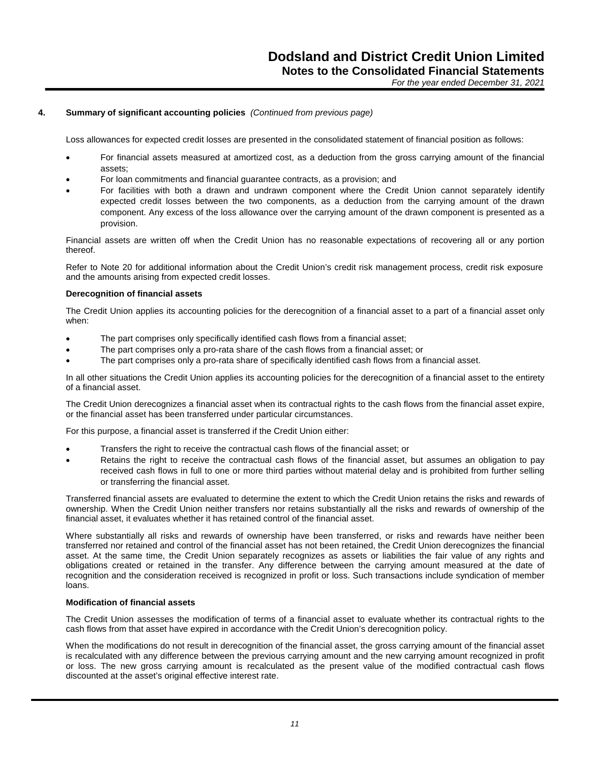## **4. Summary of significant accounting policies** *(Continued from previous page)*

Loss allowances for expected credit losses are presented in the consolidated statement of financial position as follows:

- For financial assets measured at amortized cost, as a deduction from the gross carrying amount of the financial assets;
- For loan commitments and financial guarantee contracts, as a provision; and
- For facilities with both a drawn and undrawn component where the Credit Union cannot separately identify expected credit losses between the two components, as a deduction from the carrying amount of the drawn component. Any excess of the loss allowance over the carrying amount of the drawn component is presented as a provision.

Financial assets are written off when the Credit Union has no reasonable expectations of recovering all or any portion thereof.

Refer to Note 20 for additional information about the Credit Union's credit risk management process, credit risk exposure and the amounts arising from expected credit losses.

## **Derecognition of financial assets**

The Credit Union applies its accounting policies for the derecognition of a financial asset to a part of a financial asset only when:

- The part comprises only specifically identified cash flows from a financial asset;
- The part comprises only a pro-rata share of the cash flows from a financial asset; or
- The part comprises only a pro-rata share of specifically identified cash flows from a financial asset.

In all other situations the Credit Union applies its accounting policies for the derecognition of a financial asset to the entirety of a financial asset.

The Credit Union derecognizes a financial asset when its contractual rights to the cash flows from the financial asset expire, or the financial asset has been transferred under particular circumstances.

For this purpose, a financial asset is transferred if the Credit Union either:

- Transfers the right to receive the contractual cash flows of the financial asset; or
- Retains the right to receive the contractual cash flows of the financial asset, but assumes an obligation to pay received cash flows in full to one or more third parties without material delay and is prohibited from further selling or transferring the financial asset.

Transferred financial assets are evaluated to determine the extent to which the Credit Union retains the risks and rewards of ownership. When the Credit Union neither transfers nor retains substantially all the risks and rewards of ownership of the financial asset, it evaluates whether it has retained control of the financial asset.

Where substantially all risks and rewards of ownership have been transferred, or risks and rewards have neither been transferred nor retained and control of the financial asset has not been retained, the Credit Union derecognizes the financial asset. At the same time, the Credit Union separately recognizes as assets or liabilities the fair value of any rights and obligations created or retained in the transfer. Any difference between the carrying amount measured at the date of recognition and the consideration received is recognized in profit or loss. Such transactions include syndication of member loans.

## **Modification of financial assets**

The Credit Union assesses the modification of terms of a financial asset to evaluate whether its contractual rights to the cash flows from that asset have expired in accordance with the Credit Union's derecognition policy.

When the modifications do not result in derecognition of the financial asset, the gross carrying amount of the financial asset is recalculated with any difference between the previous carrying amount and the new carrying amount recognized in profit or loss. The new gross carrying amount is recalculated as the present value of the modified contractual cash flows discounted at the asset's original effective interest rate.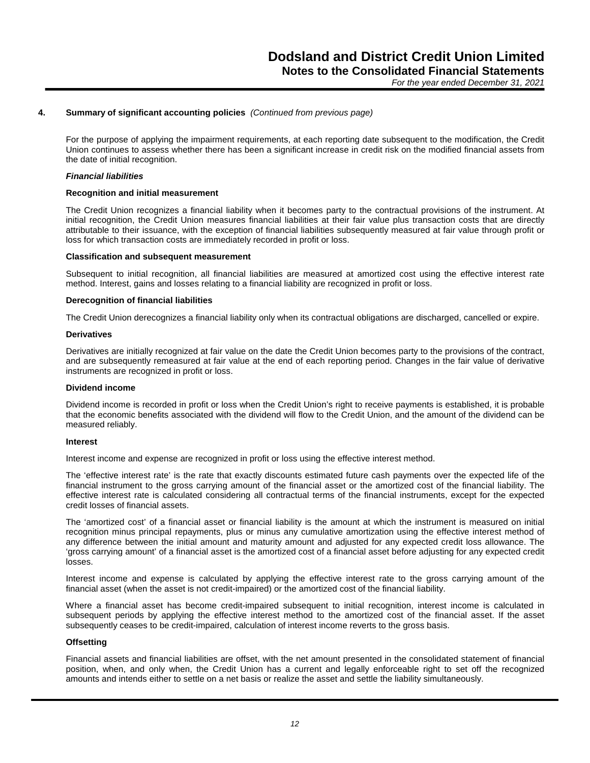For the purpose of applying the impairment requirements, at each reporting date subsequent to the modification, the Credit Union continues to assess whether there has been a significant increase in credit risk on the modified financial assets from the date of initial recognition.

## *Financial liabilities*

## **Recognition and initial measurement**

The Credit Union recognizes a financial liability when it becomes party to the contractual provisions of the instrument. At initial recognition, the Credit Union measures financial liabilities at their fair value plus transaction costs that are directly attributable to their issuance, with the exception of financial liabilities subsequently measured at fair value through profit or loss for which transaction costs are immediately recorded in profit or loss.

## **Classification and subsequent measurement**

Subsequent to initial recognition, all financial liabilities are measured at amortized cost using the effective interest rate method. Interest, gains and losses relating to a financial liability are recognized in profit or loss.

## **Derecognition of financial liabilities**

The Credit Union derecognizes a financial liability only when its contractual obligations are discharged, cancelled or expire.

## **Derivatives**

Derivatives are initially recognized at fair value on the date the Credit Union becomes party to the provisions of the contract, and are subsequently remeasured at fair value at the end of each reporting period. Changes in the fair value of derivative instruments are recognized in profit or loss.

### **Dividend income**

Dividend income is recorded in profit or loss when the Credit Union's right to receive payments is established, it is probable that the economic benefits associated with the dividend will flow to the Credit Union, and the amount of the dividend can be measured reliably.

### **Interest**

Interest income and expense are recognized in profit or loss using the effective interest method.

The 'effective interest rate' is the rate that exactly discounts estimated future cash payments over the expected life of the financial instrument to the gross carrying amount of the financial asset or the amortized cost of the financial liability. The effective interest rate is calculated considering all contractual terms of the financial instruments, except for the expected credit losses of financial assets.

The 'amortized cost' of a financial asset or financial liability is the amount at which the instrument is measured on initial recognition minus principal repayments, plus or minus any cumulative amortization using the effective interest method of any difference between the initial amount and maturity amount and adjusted for any expected credit loss allowance. The 'gross carrying amount' of a financial asset is the amortized cost of a financial asset before adjusting for any expected credit losses.

Interest income and expense is calculated by applying the effective interest rate to the gross carrying amount of the financial asset (when the asset is not credit-impaired) or the amortized cost of the financial liability.

Where a financial asset has become credit-impaired subsequent to initial recognition, interest income is calculated in subsequent periods by applying the effective interest method to the amortized cost of the financial asset. If the asset subsequently ceases to be credit-impaired, calculation of interest income reverts to the gross basis.

## **Offsetting**

Financial assets and financial liabilities are offset, with the net amount presented in the consolidated statement of financial position, when, and only when, the Credit Union has a current and legally enforceable right to set off the recognized amounts and intends either to settle on a net basis or realize the asset and settle the liability simultaneously.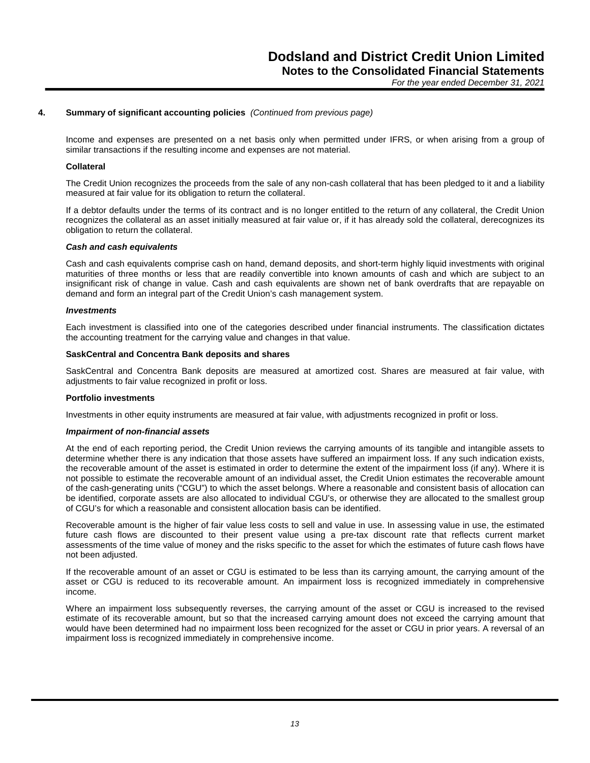Income and expenses are presented on a net basis only when permitted under IFRS, or when arising from a group of similar transactions if the resulting income and expenses are not material.

### **Collateral**

The Credit Union recognizes the proceeds from the sale of any non-cash collateral that has been pledged to it and a liability measured at fair value for its obligation to return the collateral.

If a debtor defaults under the terms of its contract and is no longer entitled to the return of any collateral, the Credit Union recognizes the collateral as an asset initially measured at fair value or, if it has already sold the collateral, derecognizes its obligation to return the collateral.

### *Cash and cash equivalents*

Cash and cash equivalents comprise cash on hand, demand deposits, and short-term highly liquid investments with original maturities of three months or less that are readily convertible into known amounts of cash and which are subject to an insignificant risk of change in value. Cash and cash equivalents are shown net of bank overdrafts that are repayable on demand and form an integral part of the Credit Union's cash management system.

#### *Investments*

Each investment is classified into one of the categories described under financial instruments. The classification dictates the accounting treatment for the carrying value and changes in that value.

## **SaskCentral and Concentra Bank deposits and shares**

SaskCentral and Concentra Bank deposits are measured at amortized cost. Shares are measured at fair value, with adjustments to fair value recognized in profit or loss.

### **Portfolio investments**

Investments in other equity instruments are measured at fair value, with adjustments recognized in profit or loss.

### *Impairment of non-financial assets*

At the end of each reporting period, the Credit Union reviews the carrying amounts of its tangible and intangible assets to determine whether there is any indication that those assets have suffered an impairment loss. If any such indication exists, the recoverable amount of the asset is estimated in order to determine the extent of the impairment loss (if any). Where it is not possible to estimate the recoverable amount of an individual asset, the Credit Union estimates the recoverable amount of the cash-generating units ("CGU") to which the asset belongs. Where a reasonable and consistent basis of allocation can be identified, corporate assets are also allocated to individual CGU's, or otherwise they are allocated to the smallest group of CGU's for which a reasonable and consistent allocation basis can be identified.

Recoverable amount is the higher of fair value less costs to sell and value in use. In assessing value in use, the estimated future cash flows are discounted to their present value using a pre-tax discount rate that reflects current market assessments of the time value of money and the risks specific to the asset for which the estimates of future cash flows have not been adjusted.

If the recoverable amount of an asset or CGU is estimated to be less than its carrying amount, the carrying amount of the asset or CGU is reduced to its recoverable amount. An impairment loss is recognized immediately in comprehensive income.

Where an impairment loss subsequently reverses, the carrying amount of the asset or CGU is increased to the revised estimate of its recoverable amount, but so that the increased carrying amount does not exceed the carrying amount that would have been determined had no impairment loss been recognized for the asset or CGU in prior years. A reversal of an impairment loss is recognized immediately in comprehensive income.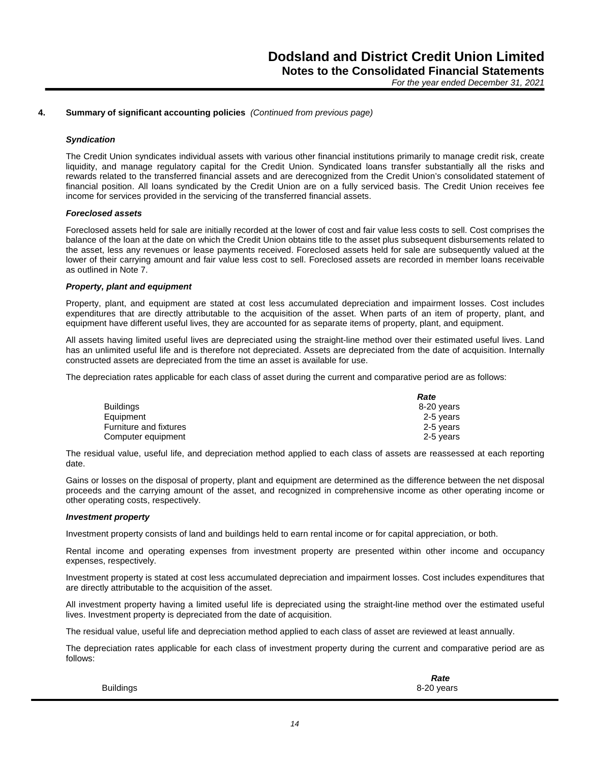## *Syndication*

The Credit Union syndicates individual assets with various other financial institutions primarily to manage credit risk, create liquidity, and manage regulatory capital for the Credit Union. Syndicated loans transfer substantially all the risks and rewards related to the transferred financial assets and are derecognized from the Credit Union's consolidated statement of financial position. All loans syndicated by the Credit Union are on a fully serviced basis. The Credit Union receives fee income for services provided in the servicing of the transferred financial assets.

### *Foreclosed assets*

Foreclosed assets held for sale are initially recorded at the lower of cost and fair value less costs to sell. Cost comprises the balance of the loan at the date on which the Credit Union obtains title to the asset plus subsequent disbursements related to the asset, less any revenues or lease payments received. Foreclosed assets held for sale are subsequently valued at the lower of their carrying amount and fair value less cost to sell. Foreclosed assets are recorded in member loans receivable as outlined in Note 7.

## *Property, plant and equipment*

Property, plant, and equipment are stated at cost less accumulated depreciation and impairment losses. Cost includes expenditures that are directly attributable to the acquisition of the asset. When parts of an item of property, plant, and equipment have different useful lives, they are accounted for as separate items of property, plant, and equipment.

All assets having limited useful lives are depreciated using the straight-line method over their estimated useful lives. Land has an unlimited useful life and is therefore not depreciated. Assets are depreciated from the date of acquisition. Internally constructed assets are depreciated from the time an asset is available for use.

The depreciation rates applicable for each class of asset during the current and comparative period are as follows:

|                        | Rate       |
|------------------------|------------|
| <b>Buildings</b>       | 8-20 years |
| Equipment              | 2-5 years  |
| Furniture and fixtures | 2-5 years  |
| Computer equipment     | 2-5 years  |

The residual value, useful life, and depreciation method applied to each class of assets are reassessed at each reporting date.

Gains or losses on the disposal of property, plant and equipment are determined as the difference between the net disposal proceeds and the carrying amount of the asset, and recognized in comprehensive income as other operating income or other operating costs, respectively.

### *Investment property*

Investment property consists of land and buildings held to earn rental income or for capital appreciation, or both.

Rental income and operating expenses from investment property are presented within other income and occupancy expenses, respectively.

Investment property is stated at cost less accumulated depreciation and impairment losses. Cost includes expenditures that are directly attributable to the acquisition of the asset.

All investment property having a limited useful life is depreciated using the straight-line method over the estimated useful lives. Investment property is depreciated from the date of acquisition.

The residual value, useful life and depreciation method applied to each class of asset are reviewed at least annually.

The depreciation rates applicable for each class of investment property during the current and comparative period are as follows:

|           | Rate       |
|-----------|------------|
| Buildings | 8-20 years |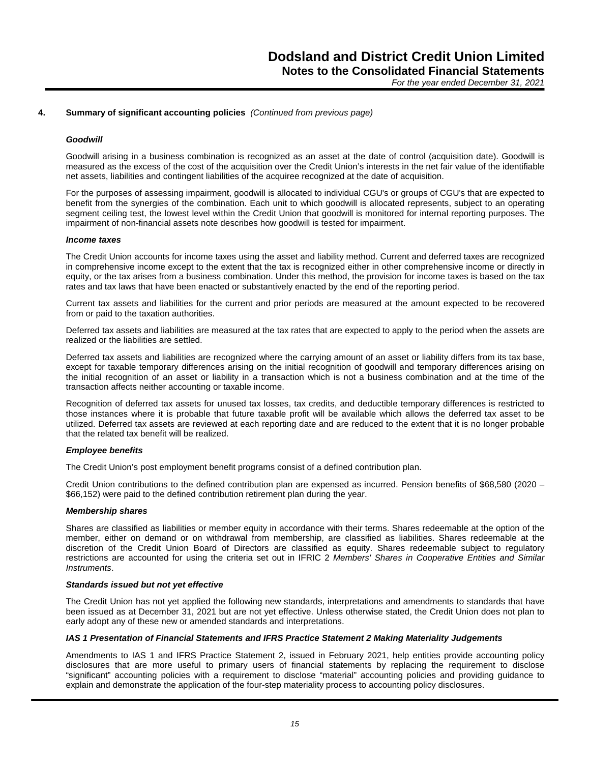### *Goodwill*

Goodwill arising in a business combination is recognized as an asset at the date of control (acquisition date). Goodwill is measured as the excess of the cost of the acquisition over the Credit Union's interests in the net fair value of the identifiable net assets, liabilities and contingent liabilities of the acquiree recognized at the date of acquisition.

For the purposes of assessing impairment, goodwill is allocated to individual CGU's or groups of CGU's that are expected to benefit from the synergies of the combination. Each unit to which goodwill is allocated represents, subject to an operating segment ceiling test, the lowest level within the Credit Union that goodwill is monitored for internal reporting purposes. The impairment of non-financial assets note describes how goodwill is tested for impairment.

## *Income taxes*

The Credit Union accounts for income taxes using the asset and liability method. Current and deferred taxes are recognized in comprehensive income except to the extent that the tax is recognized either in other comprehensive income or directly in equity, or the tax arises from a business combination. Under this method, the provision for income taxes is based on the tax rates and tax laws that have been enacted or substantively enacted by the end of the reporting period.

Current tax assets and liabilities for the current and prior periods are measured at the amount expected to be recovered from or paid to the taxation authorities.

Deferred tax assets and liabilities are measured at the tax rates that are expected to apply to the period when the assets are realized or the liabilities are settled.

Deferred tax assets and liabilities are recognized where the carrying amount of an asset or liability differs from its tax base, except for taxable temporary differences arising on the initial recognition of goodwill and temporary differences arising on the initial recognition of an asset or liability in a transaction which is not a business combination and at the time of the transaction affects neither accounting or taxable income.

Recognition of deferred tax assets for unused tax losses, tax credits, and deductible temporary differences is restricted to those instances where it is probable that future taxable profit will be available which allows the deferred tax asset to be utilized. Deferred tax assets are reviewed at each reporting date and are reduced to the extent that it is no longer probable that the related tax benefit will be realized.

### *Employee benefits*

The Credit Union's post employment benefit programs consist of a defined contribution plan.

Credit Union contributions to the defined contribution plan are expensed as incurred. Pension benefits of \$68,580 (2020 – \$66,152) were paid to the defined contribution retirement plan during the year.

### *Membership shares*

Shares are classified as liabilities or member equity in accordance with their terms. Shares redeemable at the option of the member, either on demand or on withdrawal from membership, are classified as liabilities. Shares redeemable at the discretion of the Credit Union Board of Directors are classified as equity. Shares redeemable subject to regulatory restrictions are accounted for using the criteria set out in IFRIC 2 *Members' Shares in Cooperative Entities and Similar Instruments*.

### *Standards issued but not yet effective*

The Credit Union has not yet applied the following new standards, interpretations and amendments to standards that have been issued as at December 31, 2021 but are not yet effective. Unless otherwise stated, the Credit Union does not plan to early adopt any of these new or amended standards and interpretations.

## *IAS 1 Presentation of Financial Statements and IFRS Practice Statement 2 Making Materiality Judgements*

Amendments to IAS 1 and IFRS Practice Statement 2, issued in February 2021, help entities provide accounting policy disclosures that are more useful to primary users of financial statements by replacing the requirement to disclose "significant" accounting policies with a requirement to disclose "material" accounting policies and providing guidance to explain and demonstrate the application of the four-step materiality process to accounting policy disclosures.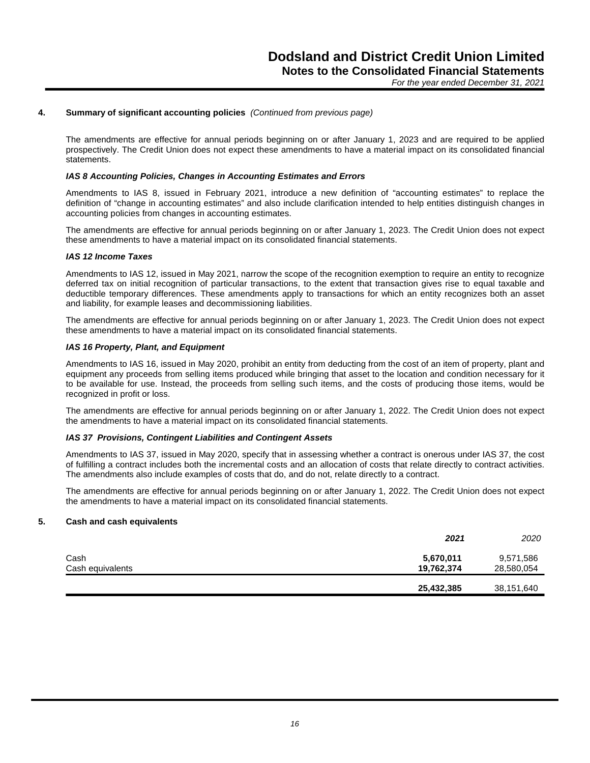The amendments are effective for annual periods beginning on or after January 1, 2023 and are required to be applied prospectively. The Credit Union does not expect these amendments to have a material impact on its consolidated financial statements.

### *IAS 8 Accounting Policies, Changes in Accounting Estimates and Errors*

Amendments to IAS 8, issued in February 2021, introduce a new definition of "accounting estimates" to replace the definition of "change in accounting estimates" and also include clarification intended to help entities distinguish changes in accounting policies from changes in accounting estimates.

The amendments are effective for annual periods beginning on or after January 1, 2023. The Credit Union does not expect these amendments to have a material impact on its consolidated financial statements.

#### *IAS 12 Income Taxes*

Amendments to IAS 12, issued in May 2021, narrow the scope of the recognition exemption to require an entity to recognize deferred tax on initial recognition of particular transactions, to the extent that transaction gives rise to equal taxable and deductible temporary differences. These amendments apply to transactions for which an entity recognizes both an asset and liability, for example leases and decommissioning liabilities.

The amendments are effective for annual periods beginning on or after January 1, 2023. The Credit Union does not expect these amendments to have a material impact on its consolidated financial statements.

#### *IAS 16 Property, Plant, and Equipment*

Amendments to IAS 16, issued in May 2020, prohibit an entity from deducting from the cost of an item of property, plant and equipment any proceeds from selling items produced while bringing that asset to the location and condition necessary for it to be available for use. Instead, the proceeds from selling such items, and the costs of producing those items, would be recognized in profit or loss.

The amendments are effective for annual periods beginning on or after January 1, 2022. The Credit Union does not expect the amendments to have a material impact on its consolidated financial statements.

## *IAS 37 Provisions, Contingent Liabilities and Contingent Assets*

Amendments to IAS 37, issued in May 2020, specify that in assessing whether a contract is onerous under IAS 37, the cost of fulfilling a contract includes both the incremental costs and an allocation of costs that relate directly to contract activities. The amendments also include examples of costs that do, and do not, relate directly to a contract.

The amendments are effective for annual periods beginning on or after January 1, 2022. The Credit Union does not expect the amendments to have a material impact on its consolidated financial statements.

## **5. Cash and cash equivalents**

|                          | 2021                    | 2020                    |
|--------------------------|-------------------------|-------------------------|
| Cash<br>Cash equivalents | 5,670,011<br>19,762,374 | 9,571,586<br>28,580,054 |
|                          | 25,432,385              | 38,151,640              |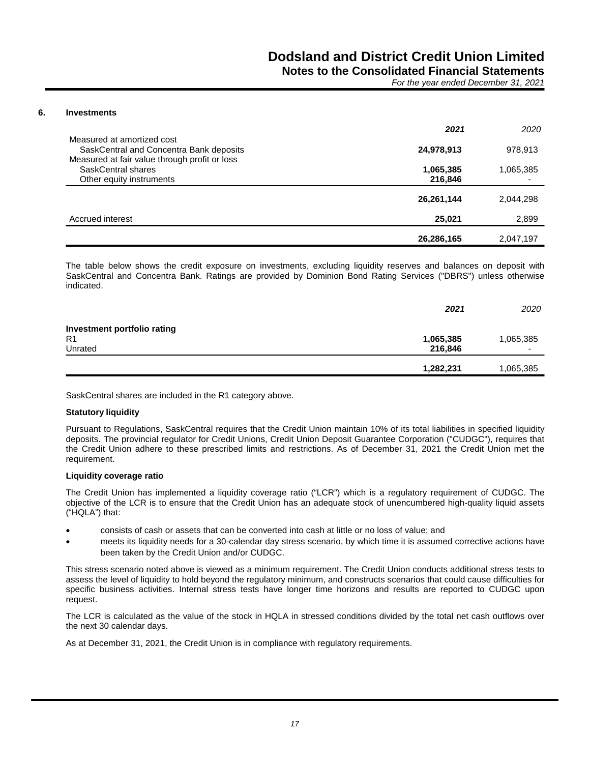## **6. Investments**

|                                                                                                                        | 2021                 | 2020           |
|------------------------------------------------------------------------------------------------------------------------|----------------------|----------------|
| Measured at amortized cost<br>SaskCentral and Concentra Bank deposits<br>Measured at fair value through profit or loss | 24,978,913           | 978,913        |
| SaskCentral shares<br>Other equity instruments                                                                         | 1,065,385<br>216,846 | 1,065,385<br>- |
|                                                                                                                        | 26,261,144           | 2,044,298      |
| Accrued interest                                                                                                       | 25,021               | 2,899          |
|                                                                                                                        | 26,286,165           | 2,047,197      |

The table below shows the credit exposure on investments, excluding liquidity reserves and balances on deposit with SaskCentral and Concentra Bank. Ratings are provided by Dominion Bond Rating Services ("DBRS") unless otherwise indicated.

|                                               | 2021      | 2020                     |
|-----------------------------------------------|-----------|--------------------------|
| Investment portfolio rating<br>R <sub>1</sub> | 1,065,385 | 1,065,385                |
| Unrated                                       | 216,846   | $\overline{\phantom{a}}$ |
|                                               | 1,282,231 | 1,065,385                |

SaskCentral shares are included in the R1 category above.

## **Statutory liquidity**

Pursuant to Regulations, SaskCentral requires that the Credit Union maintain 10% of its total liabilities in specified liquidity deposits. The provincial regulator for Credit Unions, Credit Union Deposit Guarantee Corporation ("CUDGC"), requires that the Credit Union adhere to these prescribed limits and restrictions. As of December 31, 2021 the Credit Union met the requirement.

## **Liquidity coverage ratio**

The Credit Union has implemented a liquidity coverage ratio ("LCR") which is a regulatory requirement of CUDGC. The objective of the LCR is to ensure that the Credit Union has an adequate stock of unencumbered high-quality liquid assets ("HQLA") that:

- consists of cash or assets that can be converted into cash at little or no loss of value; and
- meets its liquidity needs for a 30-calendar day stress scenario, by which time it is assumed corrective actions have been taken by the Credit Union and/or CUDGC.

This stress scenario noted above is viewed as a minimum requirement. The Credit Union conducts additional stress tests to assess the level of liquidity to hold beyond the regulatory minimum, and constructs scenarios that could cause difficulties for specific business activities. Internal stress tests have longer time horizons and results are reported to CUDGC upon request.

The LCR is calculated as the value of the stock in HQLA in stressed conditions divided by the total net cash outflows over the next 30 calendar days.

As at December 31, 2021, the Credit Union is in compliance with regulatory requirements.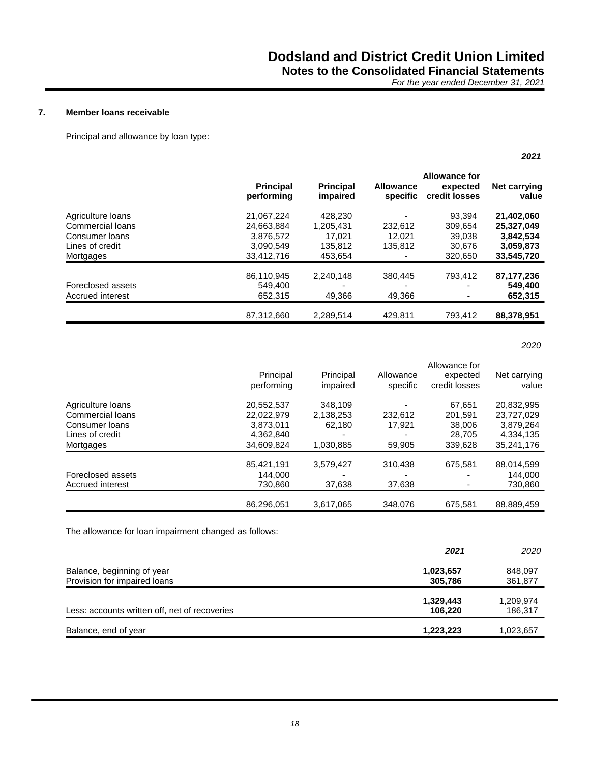## **7. Member loans receivable**

Principal and allowance by loan type:

|                   | <b>Principal</b><br>performing | <b>Principal</b><br>impaired | <b>Allowance</b><br>specific | <b>Allowance for</b><br>expected<br>credit losses | Net carrying<br>value |
|-------------------|--------------------------------|------------------------------|------------------------------|---------------------------------------------------|-----------------------|
| Agriculture loans | 21.067.224                     | 428,230                      | $\overline{\phantom{0}}$     | 93.394                                            | 21,402,060            |
| Commercial loans  | 24,663,884                     | 1,205,431                    | 232,612                      | 309,654                                           | 25,327,049            |
| Consumer loans    | 3.876.572                      | 17.021                       | 12.021                       | 39.038                                            | 3,842,534             |
| Lines of credit   | 3.090.549                      | 135.812                      | 135.812                      | 30,676                                            | 3,059,873             |
| Mortgages         | 33,412,716                     | 453,654                      |                              | 320,650                                           | 33,545,720            |
|                   | 86.110.945                     | 2.240.148                    | 380.445                      | 793.412                                           | 87, 177, 236          |
| Foreclosed assets | 549.400                        |                              |                              |                                                   | 549,400               |
| Accrued interest  | 652.315                        | 49.366                       | 49.366                       |                                                   | 652,315               |
|                   | 87,312,660                     | 2,289,514                    | 429.811                      | 793.412                                           | 88,378,951            |

*2020*

*2021*

|                   | Principal<br>performing | Principal<br>impaired | Allowance<br>specific | Allowance for<br>expected<br>credit losses | Net carrying<br>value |
|-------------------|-------------------------|-----------------------|-----------------------|--------------------------------------------|-----------------------|
| Agriculture loans | 20.552.537              | 348.109               | ۰                     | 67.651                                     | 20.832.995            |
| Commercial loans  | 22.022.979              | 2,138,253             | 232.612               | 201,591                                    | 23,727,029            |
| Consumer loans    | 3.873.011               | 62.180                | 17,921                | 38,006                                     | 3,879,264             |
| Lines of credit   | 4.362.840               |                       |                       | 28.705                                     | 4.334.135             |
| Mortgages         | 34,609,824              | 1,030,885             | 59,905                | 339.628                                    | 35,241,176            |
|                   | 85.421.191              | 3,579,427             | 310.438               | 675.581                                    | 88,014,599            |
| Foreclosed assets | 144.000                 |                       |                       |                                            | 144,000               |
| Accrued interest  | 730.860                 | 37,638                | 37,638                |                                            | 730.860               |
|                   | 86.296.051              | 3.617.065             | 348.076               | 675.581                                    | 88,889,459            |

The allowance for loan impairment changed as follows:

|                                               | 2021                 | 2020                 |
|-----------------------------------------------|----------------------|----------------------|
| Balance, beginning of year                    | 1,023,657            | 848,097              |
| Provision for impaired loans                  | 305,786              | 361,877              |
| Less: accounts written off, net of recoveries | 1,329,443<br>106.220 | 1,209,974<br>186,317 |
| Balance, end of year                          | 1,223,223            | 1,023,657            |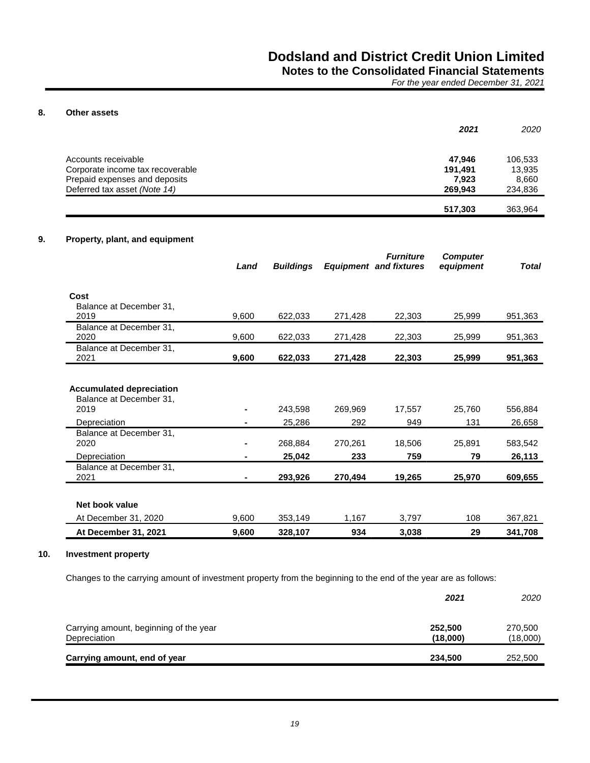## **8. Other assets**

**10.** 

|                                  | 2021    | 2020    |
|----------------------------------|---------|---------|
| Accounts receivable              | 47.946  | 106,533 |
| Corporate income tax recoverable | 191.491 | 13,935  |
| Prepaid expenses and deposits    | 7.923   | 8,660   |
| Deferred tax asset (Note 14)     | 269.943 | 234,836 |
|                                  | 517.303 | 363.964 |

## **9. Property, plant, and equipment**

|                                 | Land           | <b>Buildings</b> |         | <b>Furniture</b><br><b>Equipment</b> and fixtures | <b>Computer</b><br>equipment | <b>Total</b> |
|---------------------------------|----------------|------------------|---------|---------------------------------------------------|------------------------------|--------------|
|                                 |                |                  |         |                                                   |                              |              |
| Cost                            |                |                  |         |                                                   |                              |              |
| Balance at December 31,         |                |                  |         |                                                   |                              |              |
| 2019                            | 9,600          | 622,033          | 271,428 | 22,303                                            | 25,999                       | 951,363      |
| Balance at December 31,         |                |                  |         |                                                   |                              |              |
| 2020                            | 9,600          | 622,033          | 271,428 | 22,303                                            | 25,999                       | 951,363      |
| Balance at December 31,<br>2021 |                |                  |         | 22,303                                            |                              |              |
|                                 | 9,600          | 622,033          | 271,428 |                                                   | 25,999                       | 951,363      |
|                                 |                |                  |         |                                                   |                              |              |
| <b>Accumulated depreciation</b> |                |                  |         |                                                   |                              |              |
| Balance at December 31,         |                |                  |         |                                                   |                              |              |
| 2019                            |                | 243,598          | 269,969 | 17,557                                            | 25,760                       | 556,884      |
| Depreciation                    |                | 25,286           | 292     | 949                                               | 131                          | 26,658       |
| Balance at December 31,         |                |                  |         |                                                   |                              |              |
| 2020                            |                | 268,884          | 270,261 | 18,506                                            | 25,891                       | 583,542      |
| Depreciation                    | $\blacksquare$ | 25,042           | 233     | 759                                               | 79                           | 26,113       |
| Balance at December 31,         |                |                  |         |                                                   |                              |              |
| 2021                            | ۰              | 293,926          | 270,494 | 19,265                                            | 25,970                       | 609,655      |
|                                 |                |                  |         |                                                   |                              |              |
| Net book value                  |                |                  |         |                                                   |                              |              |
| At December 31, 2020            | 9,600          | 353,149          | 1,167   | 3,797                                             | 108                          | 367,821      |
| At December 31, 2021            | 9,600          | 328,107          | 934     | 3,038                                             | 29                           | 341,708      |
|                                 |                |                  |         |                                                   |                              |              |
| <b>Investment property</b>      |                |                  |         |                                                   |                              |              |

Changes to the carrying amount of investment property from the beginning to the end of the year are as follows:

|                                                        | 2021                | 2020                |
|--------------------------------------------------------|---------------------|---------------------|
| Carrying amount, beginning of the year<br>Depreciation | 252,500<br>(18,000) | 270,500<br>(18,000) |
| Carrying amount, end of year                           | 234.500             | 252,500             |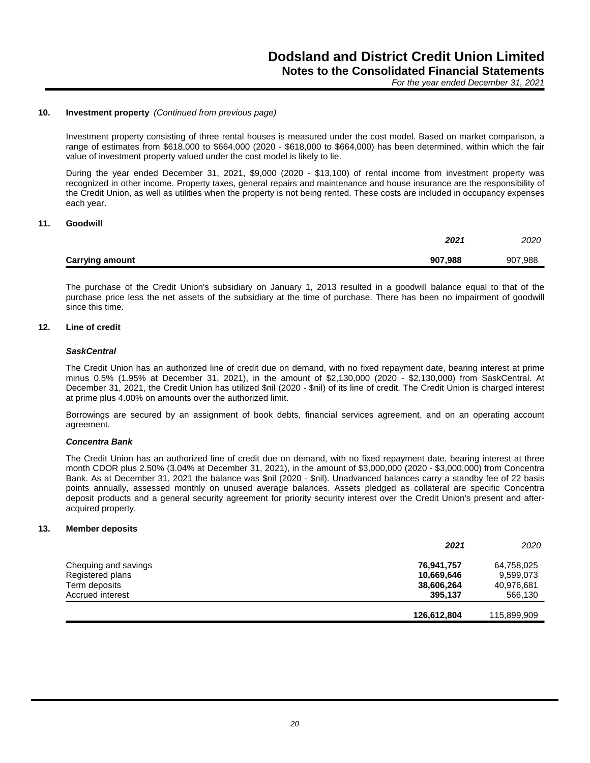## **10. Investment property** *(Continued from previous page)*

Investment property consisting of three rental houses is measured under the cost model. Based on market comparison, a range of estimates from \$618,000 to \$664,000 (2020 - \$618,000 to \$664,000) has been determined, within which the fair value of investment property valued under the cost model is likely to lie.

During the year ended December 31, 2021, \$9,000 (2020 - \$13,100) of rental income from investment property was recognized in other income. Property taxes, general repairs and maintenance and house insurance are the responsibility of the Credit Union, as well as utilities when the property is not being rented. These costs are included in occupancy expenses each year.

## **11. Goodwill**

|                        | 2021    | 2020    |
|------------------------|---------|---------|
| <b>Carrying amount</b> | 907,988 | 907,988 |

The purchase of the Credit Union's subsidiary on January 1, 2013 resulted in a goodwill balance equal to that of the purchase price less the net assets of the subsidiary at the time of purchase. There has been no impairment of goodwill since this time.

### **12. Line of credit**

#### *SaskCentral*

The Credit Union has an authorized line of credit due on demand, with no fixed repayment date, bearing interest at prime minus 0.5% (1.95% at December 31, 2021), in the amount of \$2,130,000 (2020 - \$2,130,000) from SaskCentral. At December 31, 2021, the Credit Union has utilized \$nil (2020 - \$nil) of its line of credit. The Credit Union is charged interest at prime plus 4.00% on amounts over the authorized limit.

Borrowings are secured by an assignment of book debts, financial services agreement, and on an operating account agreement.

### *Concentra Bank*

The Credit Union has an authorized line of credit due on demand, with no fixed repayment date, bearing interest at three month CDOR plus 2.50% (3.04% at December 31, 2021), in the amount of \$3,000,000 (2020 - \$3,000,000) from Concentra Bank. As at December 31, 2021 the balance was \$nil (2020 - \$nil). Unadvanced balances carry a standby fee of 22 basis points annually, assessed monthly on unused average balances. Assets pledged as collateral are specific Concentra deposit products and a general security agreement for priority security interest over the Credit Union's present and afteracquired property.

## **13. Member deposits**

|                      | 2021        | 2020        |
|----------------------|-------------|-------------|
| Chequing and savings | 76,941,757  | 64,758,025  |
| Registered plans     | 10,669,646  | 9,599,073   |
| Term deposits        | 38,606,264  | 40,976,681  |
| Accrued interest     | 395.137     | 566,130     |
|                      | 126,612,804 | 115,899,909 |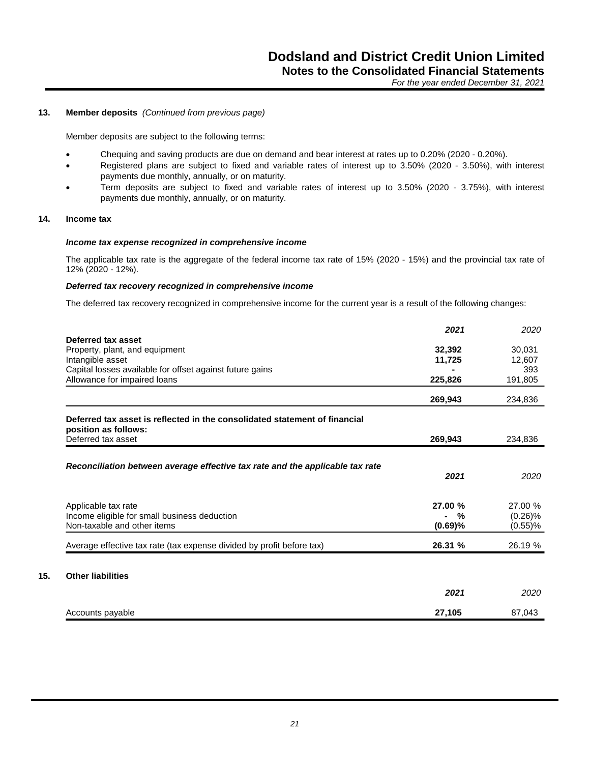## **13. Member deposits** *(Continued from previous page)*

Member deposits are subject to the following terms:

- Chequing and saving products are due on demand and bear interest at rates up to 0.20% (2020 0.20%).
- Registered plans are subject to fixed and variable rates of interest up to 3.50% (2020 3.50%), with interest payments due monthly, annually, or on maturity.
- Term deposits are subject to fixed and variable rates of interest up to 3.50% (2020 3.75%), with interest payments due monthly, annually, or on maturity.

## **14. Income tax**

**15.** 

## *Income tax expense recognized in comprehensive income*

The applicable tax rate is the aggregate of the federal income tax rate of 15% (2020 - 15%) and the provincial tax rate of 12% (2020 - 12%).

## *Deferred tax recovery recognized in comprehensive income*

The deferred tax recovery recognized in comprehensive income for the current year is a result of the following changes:

|                                                                                                    | 2021       | 2020       |
|----------------------------------------------------------------------------------------------------|------------|------------|
| Deferred tax asset<br>Property, plant, and equipment                                               | 32,392     | 30,031     |
| Intangible asset                                                                                   | 11,725     | 12,607     |
| Capital losses available for offset against future gains                                           |            | 393        |
| Allowance for impaired loans                                                                       | 225,826    | 191,805    |
|                                                                                                    | 269,943    | 234,836    |
| Deferred tax asset is reflected in the consolidated statement of financial<br>position as follows: |            |            |
| Deferred tax asset                                                                                 | 269,943    | 234,836    |
| Reconciliation between average effective tax rate and the applicable tax rate                      | 2021       | 2020       |
| Applicable tax rate                                                                                | 27.00 %    | 27.00 %    |
| Income eligible for small business deduction                                                       | $\%$<br>Ξ. | $(0.26)\%$ |
| Non-taxable and other items                                                                        | (0.69)%    | $(0.55)$ % |
| Average effective tax rate (tax expense divided by profit before tax)                              | 26.31 %    | 26.19 %    |
| <b>Other liabilities</b>                                                                           |            |            |
|                                                                                                    | 2021       | 2020       |
| Accounts payable                                                                                   | 27,105     | 87,043     |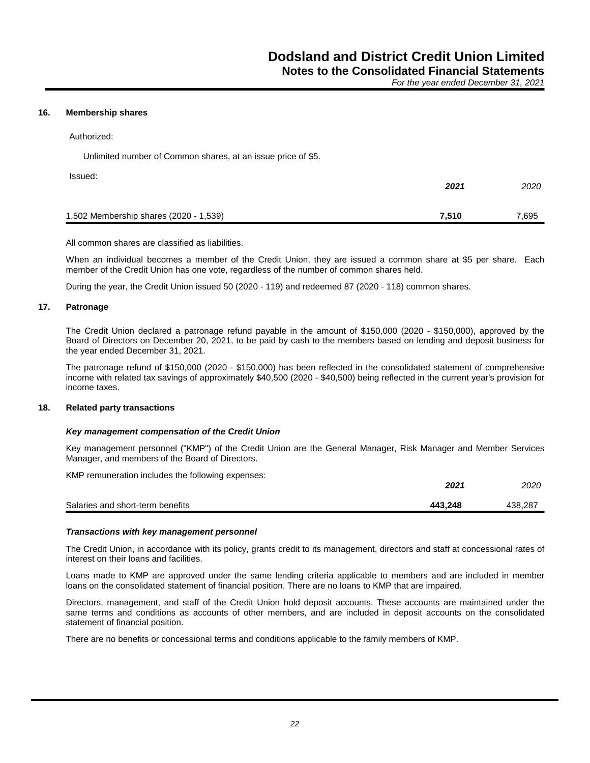## **16. Membership shares**

## Authorized:

Unlimited number of Common shares, at an issue price of \$5.

| Issued:                                | 2021  | 2020  |
|----------------------------------------|-------|-------|
| 1,502 Membership shares (2020 - 1,539) | 7.510 | 7,695 |

All common shares are classified as liabilities.

When an individual becomes a member of the Credit Union, they are issued a common share at \$5 per share. Each member of the Credit Union has one vote, regardless of the number of common shares held.

During the year, the Credit Union issued 50 (2020 - 119) and redeemed 87 (2020 - 118) common shares.

## **17. Patronage**

The Credit Union declared a patronage refund payable in the amount of \$150,000 (2020 - \$150,000), approved by the Board of Directors on December 20, 2021, to be paid by cash to the members based on lending and deposit business for the year ended December 31, 2021.

The patronage refund of \$150,000 (2020 - \$150,000) has been reflected in the consolidated statement of comprehensive income with related tax savings of approximately \$40,500 (2020 - \$40,500) being reflected in the current year's provision for income taxes.

## **18. Related party transactions**

### *Key management compensation of the Credit Union*

Key management personnel ("KMP") of the Credit Union are the General Manager, Risk Manager and Member Services Manager, and members of the Board of Directors.

KMP remuneration includes the following expenses:

|                                  | 2021    | 2020    |
|----------------------------------|---------|---------|
| Salaries and short-term benefits | 443.248 | 438.287 |

### *Transactions with key management personnel*

The Credit Union, in accordance with its policy, grants credit to its management, directors and staff at concessional rates of interest on their loans and facilities.

Loans made to KMP are approved under the same lending criteria applicable to members and are included in member loans on the consolidated statement of financial position. There are no loans to KMP that are impaired.

Directors, management, and staff of the Credit Union hold deposit accounts. These accounts are maintained under the same terms and conditions as accounts of other members, and are included in deposit accounts on the consolidated statement of financial position.

There are no benefits or concessional terms and conditions applicable to the family members of KMP.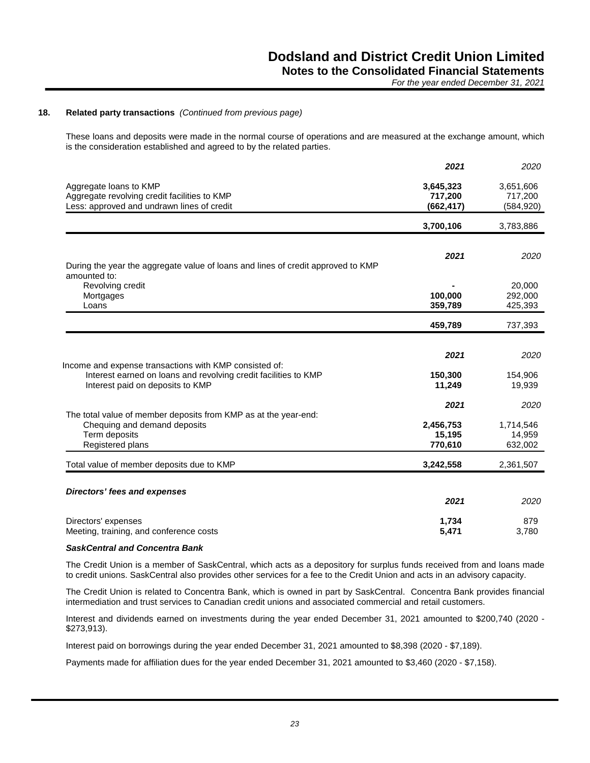## **18. Related party transactions** *(Continued from previous page)*

These loans and deposits were made in the normal course of operations and are measured at the exchange amount, which is the consideration established and agreed to by the related parties.

|                                                                                                                                      | 2021                                   | 2020                                   |
|--------------------------------------------------------------------------------------------------------------------------------------|----------------------------------------|----------------------------------------|
| Aggregate loans to KMP<br>Aggregate revolving credit facilities to KMP<br>Less: approved and undrawn lines of credit                 | 3,645,323<br>717,200<br>(662, 417)     | 3,651,606<br>717,200<br>(584, 920)     |
|                                                                                                                                      | 3,700,106                              | 3,783,886                              |
| During the year the aggregate value of loans and lines of credit approved to KMP<br>amounted to:                                     | 2021                                   | 2020                                   |
| Revolving credit<br>Mortgages<br>Loans                                                                                               | 100.000<br>359,789                     | 20,000<br>292,000<br>425,393           |
|                                                                                                                                      | 459,789                                | 737,393                                |
| Income and expense transactions with KMP consisted of:                                                                               | 2021                                   | 2020                                   |
| Interest earned on loans and revolving credit facilities to KMP<br>Interest paid on deposits to KMP                                  | 150,300<br>11,249                      | 154,906<br>19,939                      |
| The total value of member deposits from KMP as at the year-end:<br>Chequing and demand deposits<br>Term deposits<br>Registered plans | 2021<br>2,456,753<br>15,195<br>770,610 | 2020<br>1,714,546<br>14,959<br>632,002 |
| Total value of member deposits due to KMP                                                                                            | 3,242,558                              | 2,361,507                              |
| Directors' fees and expenses                                                                                                         | 2021                                   | 2020                                   |
| Directors' expenses<br>Meeting, training, and conference costs                                                                       | 1,734<br>5,471                         | 879<br>3,780                           |

## *SaskCentral and Concentra Bank*

The Credit Union is a member of SaskCentral, which acts as a depository for surplus funds received from and loans made to credit unions. SaskCentral also provides other services for a fee to the Credit Union and acts in an advisory capacity.

The Credit Union is related to Concentra Bank, which is owned in part by SaskCentral. Concentra Bank provides financial intermediation and trust services to Canadian credit unions and associated commercial and retail customers.

Interest and dividends earned on investments during the year ended December 31, 2021 amounted to \$200,740 (2020 - \$273,913).

Interest paid on borrowings during the year ended December 31, 2021 amounted to \$8,398 (2020 - \$7,189).

Payments made for affiliation dues for the year ended December 31, 2021 amounted to \$3,460 (2020 - \$7,158).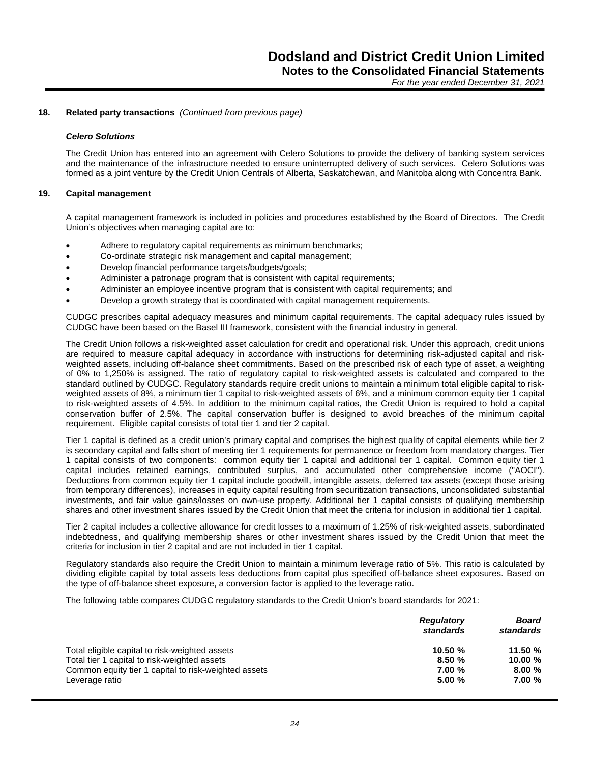## **18. Related party transactions** *(Continued from previous page)*

### *Celero Solutions*

The Credit Union has entered into an agreement with Celero Solutions to provide the delivery of banking system services and the maintenance of the infrastructure needed to ensure uninterrupted delivery of such services. Celero Solutions was formed as a joint venture by the Credit Union Centrals of Alberta, Saskatchewan, and Manitoba along with Concentra Bank.

## **19. Capital management**

A capital management framework is included in policies and procedures established by the Board of Directors. The Credit Union's objectives when managing capital are to:

- Adhere to regulatory capital requirements as minimum benchmarks;
- Co-ordinate strategic risk management and capital management;
- Develop financial performance targets/budgets/goals:
- Administer a patronage program that is consistent with capital requirements;
- Administer an employee incentive program that is consistent with capital requirements; and
- Develop a growth strategy that is coordinated with capital management requirements.

CUDGC prescribes capital adequacy measures and minimum capital requirements. The capital adequacy rules issued by CUDGC have been based on the Basel III framework, consistent with the financial industry in general.

The Credit Union follows a risk-weighted asset calculation for credit and operational risk. Under this approach, credit unions are required to measure capital adequacy in accordance with instructions for determining risk-adjusted capital and riskweighted assets, including off-balance sheet commitments. Based on the prescribed risk of each type of asset, a weighting of 0% to 1,250% is assigned. The ratio of regulatory capital to risk-weighted assets is calculated and compared to the standard outlined by CUDGC. Regulatory standards require credit unions to maintain a minimum total eligible capital to riskweighted assets of 8%, a minimum tier 1 capital to risk-weighted assets of 6%, and a minimum common equity tier 1 capital to risk-weighted assets of 4.5%. In addition to the minimum capital ratios, the Credit Union is required to hold a capital conservation buffer of 2.5%. The capital conservation buffer is designed to avoid breaches of the minimum capital requirement. Eligible capital consists of total tier 1 and tier 2 capital.

Tier 1 capital is defined as a credit union's primary capital and comprises the highest quality of capital elements while tier 2 is secondary capital and falls short of meeting tier 1 requirements for permanence or freedom from mandatory charges. Tier 1 capital consists of two components: common equity tier 1 capital and additional tier 1 capital. Common equity tier 1 capital includes retained earnings, contributed surplus, and accumulated other comprehensive income ("AOCI"). Deductions from common equity tier 1 capital include goodwill, intangible assets, deferred tax assets (except those arising from temporary differences), increases in equity capital resulting from securitization transactions, unconsolidated substantial investments, and fair value gains/losses on own-use property. Additional tier 1 capital consists of qualifying membership shares and other investment shares issued by the Credit Union that meet the criteria for inclusion in additional tier 1 capital.

Tier 2 capital includes a collective allowance for credit losses to a maximum of 1.25% of risk-weighted assets, subordinated indebtedness, and qualifying membership shares or other investment shares issued by the Credit Union that meet the criteria for inclusion in tier 2 capital and are not included in tier 1 capital.

Regulatory standards also require the Credit Union to maintain a minimum leverage ratio of 5%. This ratio is calculated by dividing eligible capital by total assets less deductions from capital plus specified off-balance sheet exposures. Based on the type of off-balance sheet exposure, a conversion factor is applied to the leverage ratio.

The following table compares CUDGC regulatory standards to the Credit Union's board standards for 2021:

|                                                      | <b>Regulatory</b><br>standards | <b>Board</b><br>standards |
|------------------------------------------------------|--------------------------------|---------------------------|
| Total eligible capital to risk-weighted assets       | 10.50 %                        | 11.50 %                   |
| Total tier 1 capital to risk-weighted assets         | 8.50 %                         | 10.00 $%$                 |
| Common equity tier 1 capital to risk-weighted assets | 7.00%                          | 8.00%                     |
| Leverage ratio                                       | 5.00%                          | 7.00 %                    |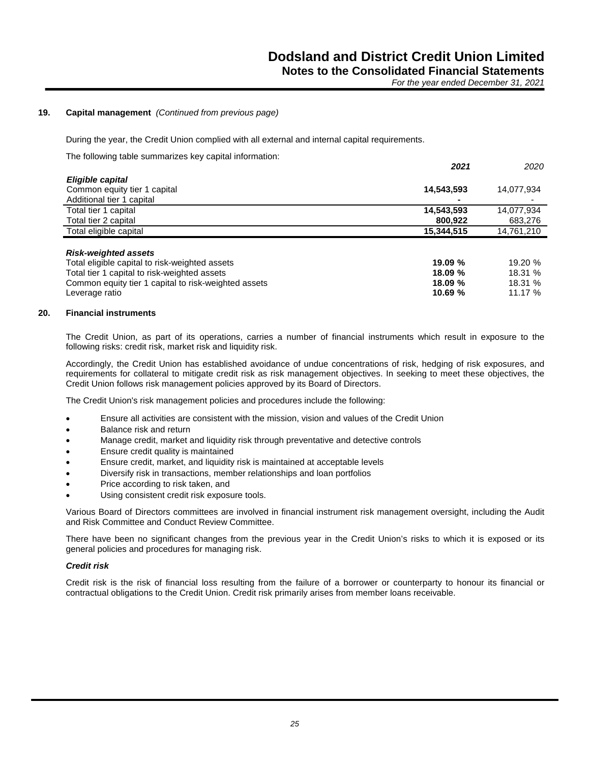## **19. Capital management** *(Continued from previous page)*

During the year, the Credit Union complied with all external and internal capital requirements.

The following table summarizes key capital information:

|                              | 2021       | 2020                     |
|------------------------------|------------|--------------------------|
| Eligible capital             |            |                          |
| Common equity tier 1 capital | 14,543,593 | 14,077,934               |
| Additional tier 1 capital    |            | $\overline{\phantom{0}}$ |
| Total tier 1 capital         | 14,543,593 | 14,077,934               |
| Total tier 2 capital         | 800,922    | 683,276                  |
| Total eligible capital       | 15.344.515 | 14,761,210               |
|                              |            |                          |
| <b>Risk-weighted assets</b>  |            |                          |

| Total eligible capital to risk-weighted assets       | 19.09 $%$ | 19.20 %   |
|------------------------------------------------------|-----------|-----------|
| Total tier 1 capital to risk-weighted assets         | 18.09%    | 18.31 %   |
| Common equity tier 1 capital to risk-weighted assets | 18.09%    | 18.31 %   |
| Leverage ratio                                       | 10.69 $%$ | 11.17 $%$ |

## **20. Financial instruments**

The Credit Union, as part of its operations, carries a number of financial instruments which result in exposure to the following risks: credit risk, market risk and liquidity risk.

Accordingly, the Credit Union has established avoidance of undue concentrations of risk, hedging of risk exposures, and requirements for collateral to mitigate credit risk as risk management objectives. In seeking to meet these objectives, the Credit Union follows risk management policies approved by its Board of Directors.

The Credit Union's risk management policies and procedures include the following:

- Ensure all activities are consistent with the mission, vision and values of the Credit Union
- Balance risk and return
- Manage credit, market and liquidity risk through preventative and detective controls
- Ensure credit quality is maintained
- Ensure credit, market, and liquidity risk is maintained at acceptable levels
- Diversify risk in transactions, member relationships and loan portfolios
- Price according to risk taken, and
- Using consistent credit risk exposure tools.

Various Board of Directors committees are involved in financial instrument risk management oversight, including the Audit and Risk Committee and Conduct Review Committee.

There have been no significant changes from the previous year in the Credit Union's risks to which it is exposed or its general policies and procedures for managing risk.

#### *Credit risk*

Credit risk is the risk of financial loss resulting from the failure of a borrower or counterparty to honour its financial or contractual obligations to the Credit Union. Credit risk primarily arises from member loans receivable.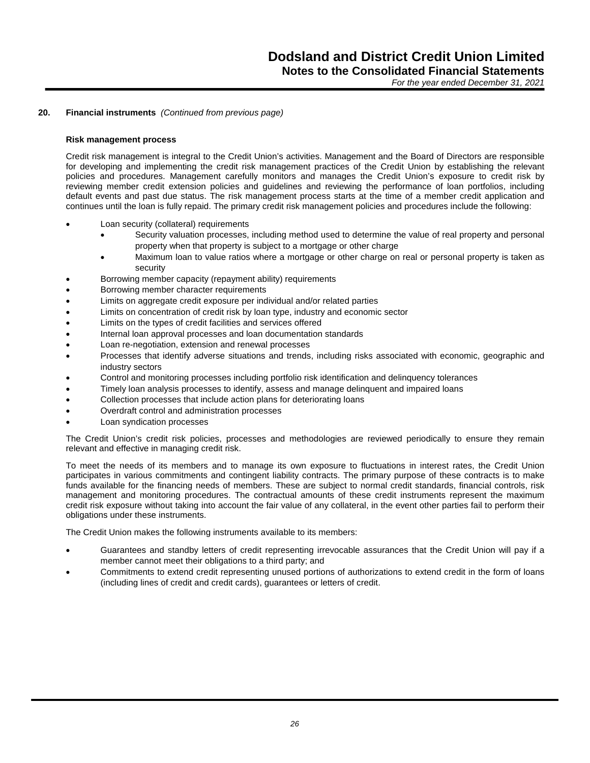## **20. Financial instruments** *(Continued from previous page)*

## **Risk management process**

Credit risk management is integral to the Credit Union's activities. Management and the Board of Directors are responsible for developing and implementing the credit risk management practices of the Credit Union by establishing the relevant policies and procedures. Management carefully monitors and manages the Credit Union's exposure to credit risk by reviewing member credit extension policies and guidelines and reviewing the performance of loan portfolios, including default events and past due status. The risk management process starts at the time of a member credit application and continues until the loan is fully repaid. The primary credit risk management policies and procedures include the following:

- Loan security (collateral) requirements
	- Security valuation processes, including method used to determine the value of real property and personal property when that property is subject to a mortgage or other charge
	- Maximum loan to value ratios where a mortgage or other charge on real or personal property is taken as security
- Borrowing member capacity (repayment ability) requirements
- Borrowing member character requirements
- Limits on aggregate credit exposure per individual and/or related parties
- Limits on concentration of credit risk by loan type, industry and economic sector
- Limits on the types of credit facilities and services offered
- Internal loan approval processes and loan documentation standards
- Loan re-negotiation, extension and renewal processes
- Processes that identify adverse situations and trends, including risks associated with economic, geographic and industry sectors
- Control and monitoring processes including portfolio risk identification and delinquency tolerances
- Timely loan analysis processes to identify, assess and manage delinquent and impaired loans
- Collection processes that include action plans for deteriorating loans
- Overdraft control and administration processes
- Loan syndication processes

The Credit Union's credit risk policies, processes and methodologies are reviewed periodically to ensure they remain relevant and effective in managing credit risk.

To meet the needs of its members and to manage its own exposure to fluctuations in interest rates, the Credit Union participates in various commitments and contingent liability contracts. The primary purpose of these contracts is to make funds available for the financing needs of members. These are subject to normal credit standards, financial controls, risk management and monitoring procedures. The contractual amounts of these credit instruments represent the maximum credit risk exposure without taking into account the fair value of any collateral, in the event other parties fail to perform their obligations under these instruments.

The Credit Union makes the following instruments available to its members:

- Guarantees and standby letters of credit representing irrevocable assurances that the Credit Union will pay if a member cannot meet their obligations to a third party; and
- Commitments to extend credit representing unused portions of authorizations to extend credit in the form of loans (including lines of credit and credit cards), guarantees or letters of credit.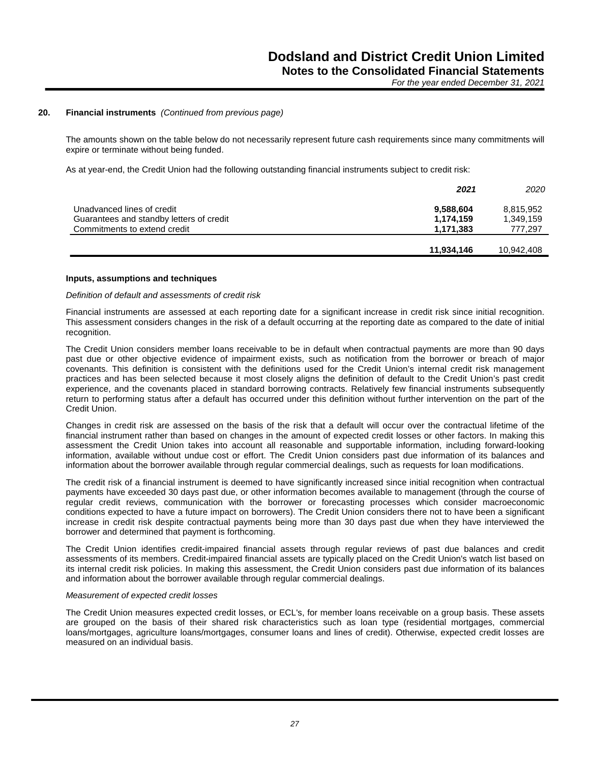## **20. Financial instruments** *(Continued from previous page)*

The amounts shown on the table below do not necessarily represent future cash requirements since many commitments will expire or terminate without being funded.

As at year-end, the Credit Union had the following outstanding financial instruments subject to credit risk:

| 2021                                                  | 2020       |
|-------------------------------------------------------|------------|
| 9,588,604<br>Unadvanced lines of credit               | 8,815,952  |
| Guarantees and standby letters of credit<br>1,174,159 | 1,349,159  |
| Commitments to extend credit<br>1,171,383             | 777,297    |
|                                                       |            |
| 11,934,146                                            | 10,942,408 |

#### **Inputs, assumptions and techniques**

*Definition of default and assessments of credit risk*

Financial instruments are assessed at each reporting date for a significant increase in credit risk since initial recognition. This assessment considers changes in the risk of a default occurring at the reporting date as compared to the date of initial recognition.

The Credit Union considers member loans receivable to be in default when contractual payments are more than 90 days past due or other objective evidence of impairment exists, such as notification from the borrower or breach of major covenants. This definition is consistent with the definitions used for the Credit Union's internal credit risk management practices and has been selected because it most closely aligns the definition of default to the Credit Union's past credit experience, and the covenants placed in standard borrowing contracts. Relatively few financial instruments subsequently return to performing status after a default has occurred under this definition without further intervention on the part of the Credit Union.

Changes in credit risk are assessed on the basis of the risk that a default will occur over the contractual lifetime of the financial instrument rather than based on changes in the amount of expected credit losses or other factors. In making this assessment the Credit Union takes into account all reasonable and supportable information, including forward-looking information, available without undue cost or effort. The Credit Union considers past due information of its balances and information about the borrower available through regular commercial dealings, such as requests for loan modifications.

The credit risk of a financial instrument is deemed to have significantly increased since initial recognition when contractual payments have exceeded 30 days past due, or other information becomes available to management (through the course of regular credit reviews, communication with the borrower or forecasting processes which consider macroeconomic conditions expected to have a future impact on borrowers). The Credit Union considers there not to have been a significant increase in credit risk despite contractual payments being more than 30 days past due when they have interviewed the borrower and determined that payment is forthcoming.

The Credit Union identifies credit-impaired financial assets through regular reviews of past due balances and credit assessments of its members. Credit-impaired financial assets are typically placed on the Credit Union's watch list based on its internal credit risk policies. In making this assessment, the Credit Union considers past due information of its balances and information about the borrower available through regular commercial dealings.

#### *Measurement of expected credit losses*

The Credit Union measures expected credit losses, or ECL's, for member loans receivable on a group basis. These assets are grouped on the basis of their shared risk characteristics such as loan type (residential mortgages, commercial loans/mortgages, agriculture loans/mortgages, consumer loans and lines of credit). Otherwise, expected credit losses are measured on an individual basis.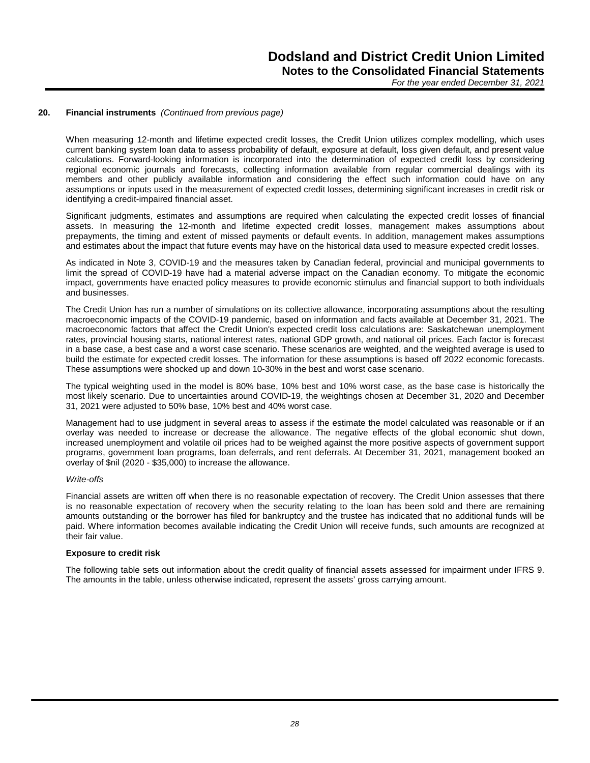## **20. Financial instruments** *(Continued from previous page)*

When measuring 12-month and lifetime expected credit losses, the Credit Union utilizes complex modelling, which uses current banking system loan data to assess probability of default, exposure at default, loss given default, and present value calculations. Forward-looking information is incorporated into the determination of expected credit loss by considering regional economic journals and forecasts, collecting information available from regular commercial dealings with its members and other publicly available information and considering the effect such information could have on any assumptions or inputs used in the measurement of expected credit losses, determining significant increases in credit risk or identifying a credit-impaired financial asset.

Significant judgments, estimates and assumptions are required when calculating the expected credit losses of financial assets. In measuring the 12-month and lifetime expected credit losses, management makes assumptions about prepayments, the timing and extent of missed payments or default events. In addition, management makes assumptions and estimates about the impact that future events may have on the historical data used to measure expected credit losses.

As indicated in Note 3, COVID-19 and the measures taken by Canadian federal, provincial and municipal governments to limit the spread of COVID-19 have had a material adverse impact on the Canadian economy. To mitigate the economic impact, governments have enacted policy measures to provide economic stimulus and financial support to both individuals and businesses.

The Credit Union has run a number of simulations on its collective allowance, incorporating assumptions about the resulting macroeconomic impacts of the COVID-19 pandemic, based on information and facts available at December 31, 2021. The macroeconomic factors that affect the Credit Union's expected credit loss calculations are: Saskatchewan unemployment rates, provincial housing starts, national interest rates, national GDP growth, and national oil prices. Each factor is forecast in a base case, a best case and a worst case scenario. These scenarios are weighted, and the weighted average is used to build the estimate for expected credit losses. The information for these assumptions is based off 2022 economic forecasts. These assumptions were shocked up and down 10-30% in the best and worst case scenario.

The typical weighting used in the model is 80% base, 10% best and 10% worst case, as the base case is historically the most likely scenario. Due to uncertainties around COVID-19, the weightings chosen at December 31, 2020 and December 31, 2021 were adjusted to 50% base, 10% best and 40% worst case.

Management had to use judgment in several areas to assess if the estimate the model calculated was reasonable or if an overlay was needed to increase or decrease the allowance. The negative effects of the global economic shut down, increased unemployment and volatile oil prices had to be weighed against the more positive aspects of government support programs, government loan programs, loan deferrals, and rent deferrals. At December 31, 2021, management booked an overlay of \$nil (2020 - \$35,000) to increase the allowance.

### *Write-offs*

Financial assets are written off when there is no reasonable expectation of recovery. The Credit Union assesses that there is no reasonable expectation of recovery when the security relating to the loan has been sold and there are remaining amounts outstanding or the borrower has filed for bankruptcy and the trustee has indicated that no additional funds will be paid. Where information becomes available indicating the Credit Union will receive funds, such amounts are recognized at their fair value.

### **Exposure to credit risk**

The following table sets out information about the credit quality of financial assets assessed for impairment under IFRS 9. The amounts in the table, unless otherwise indicated, represent the assets' gross carrying amount.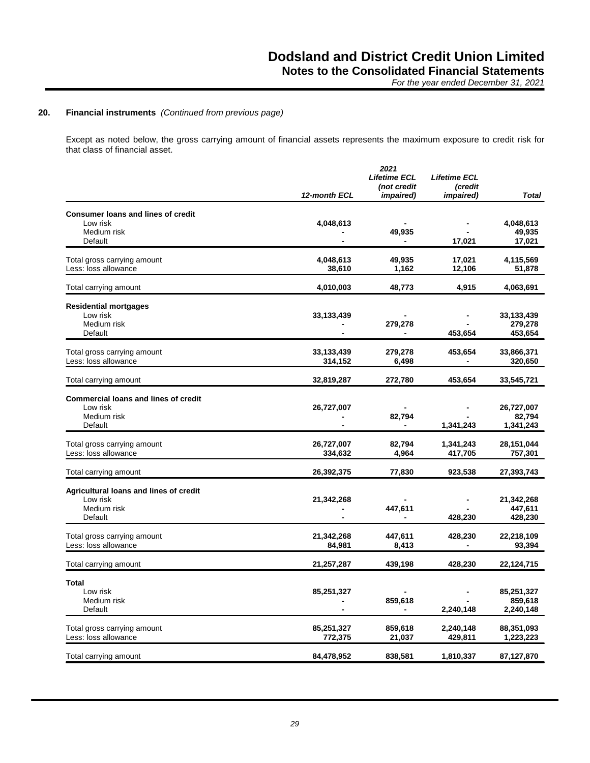## **20. Financial instruments** *(Continued from previous page)*

Except as noted below, the gross carrying amount of financial assets represents the maximum exposure to credit risk for that class of financial asset.

|                                             |              | 2021<br><b>Lifetime ECL</b><br>(not credit | <b>Lifetime ECL</b><br>(credit |            |
|---------------------------------------------|--------------|--------------------------------------------|--------------------------------|------------|
|                                             | 12-month ECL | <i>impaired)</i>                           | <i>impaired</i> )              | Total      |
| <b>Consumer loans and lines of credit</b>   |              |                                            |                                |            |
| Low risk                                    | 4,048,613    |                                            |                                | 4,048,613  |
| Medium risk                                 |              | 49,935                                     |                                | 49,935     |
| Default                                     |              |                                            | 17,021                         | 17,021     |
| Total gross carrying amount                 | 4,048,613    | 49,935                                     | 17,021                         | 4,115,569  |
| Less: loss allowance                        | 38,610       | 1,162                                      | 12,106                         | 51,878     |
| Total carrying amount                       | 4,010,003    | 48,773                                     | 4,915                          | 4,063,691  |
| <b>Residential mortgages</b>                |              |                                            |                                |            |
| Low risk                                    | 33,133,439   |                                            |                                | 33,133,439 |
| Medium risk                                 |              | 279,278                                    |                                | 279,278    |
| Default                                     |              |                                            | 453,654                        | 453,654    |
| Total gross carrying amount                 | 33,133,439   | 279,278                                    | 453,654                        | 33,866,371 |
| Less: loss allowance                        | 314,152      | 6,498                                      |                                | 320,650    |
|                                             |              |                                            |                                |            |
| Total carrying amount                       | 32,819,287   | 272,780                                    | 453,654                        | 33,545,721 |
| <b>Commercial loans and lines of credit</b> |              |                                            |                                |            |
| Low risk                                    | 26,727,007   |                                            |                                | 26,727,007 |
| Medium risk                                 |              | 82,794                                     |                                | 82,794     |
| Default                                     |              |                                            | 1,341,243                      | 1,341,243  |
| Total gross carrying amount                 | 26,727,007   | 82,794                                     | 1,341,243                      | 28,151,044 |
| Less: loss allowance                        | 334,632      | 4,964                                      | 417,705                        | 757,301    |
| Total carrying amount                       | 26,392,375   | 77,830                                     | 923,538                        | 27,393,743 |
| Agricultural loans and lines of credit      |              |                                            |                                |            |
| Low risk                                    | 21,342,268   |                                            |                                | 21,342,268 |
| Medium risk                                 |              | 447,611                                    |                                | 447,611    |
| Default                                     |              |                                            | 428,230                        | 428,230    |
| Total gross carrying amount                 | 21,342,268   | 447,611                                    | 428,230                        | 22,218,109 |
| Less: loss allowance                        | 84,981       | 8,413                                      |                                | 93,394     |
|                                             |              |                                            |                                |            |
| Total carrying amount                       | 21,257,287   | 439,198                                    | 428,230                        | 22,124,715 |
| <b>Total</b>                                |              |                                            |                                |            |
| Low risk                                    | 85,251,327   |                                            |                                | 85,251,327 |
| Medium risk                                 |              | 859,618                                    |                                | 859,618    |
| Default                                     |              |                                            | 2,240,148                      | 2,240,148  |
| Total gross carrying amount                 | 85,251,327   | 859,618                                    | 2,240,148                      | 88,351,093 |
| Less: loss allowance                        | 772,375      | 21,037                                     | 429,811                        | 1,223,223  |
|                                             |              |                                            |                                |            |
| Total carrying amount                       | 84,478,952   | 838,581                                    | 1,810,337                      | 87,127,870 |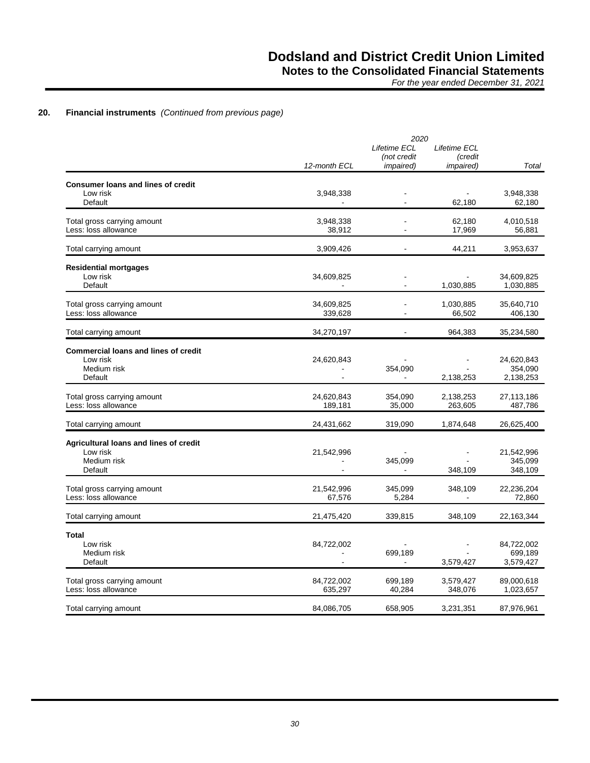## **20. Financial instruments** *(Continued from previous page)*

| Lifetime ECL<br><b>Lifetime ECL</b><br>(not credit<br>(credit<br>Total<br>12-month ECL<br><i>impaired</i> )<br><i>impaired</i> )<br><b>Consumer loans and lines of credit</b><br>Low risk<br>3,948,338<br>3,948,338<br>62,180<br>Default<br>62,180<br>62,180<br>Total gross carrying amount<br>3,948,338<br>4,010,518<br>17,969<br>Less: loss allowance<br>38,912<br>56,881<br>44,211<br>3,909,426<br>3,953,637<br>Total carrying amount<br><b>Residential mortgages</b><br>Low risk<br>34,609,825<br>34,609,825<br>1,030,885<br>Default<br>1,030,885<br>Total gross carrying amount<br>34,609,825<br>1,030,885<br>35,640,710<br>Less: loss allowance<br>339,628<br>66,502<br>406,130<br>34,270,197<br>964,383<br>Total carrying amount<br>35,234,580<br><b>Commercial loans and lines of credit</b><br>Low risk<br>24,620,843<br>24,620,843<br>354,090<br>Medium risk<br>354,090<br>$\sim$<br>2,138,253<br>Default<br>2,138,253<br>Total gross carrying amount<br>24,620,843<br>354,090<br>2,138,253<br>27,113,186<br>Less: loss allowance<br>189,181<br>35,000<br>263,605<br>487,786<br>Total carrying amount<br>24,431,662<br>319,090<br>1,874,648<br>26,625,400<br>Agricultural loans and lines of credit<br>Low risk<br>21,542,996<br>21,542,996<br>$\blacksquare$<br>345,099<br>Medium risk<br>345,099<br>Default<br>348,109<br>348,109<br>$\sim$<br>21,542,996<br>348,109<br>22,236,204<br>Total gross carrying amount<br>345,099<br>Less: loss allowance<br>67,576<br>5,284<br>72,860<br>$\blacksquare$<br>348,109<br>Total carrying amount<br>21,475,420<br>339,815<br>22,163,344<br><b>Total</b><br>Low risk<br>84,722,002<br>84,722,002<br>Medium risk<br>699,189<br>699,189<br>Default<br>3,579,427<br>3,579,427<br>$\sim$<br>$\blacksquare$<br>84,722,002<br>699,189<br>3,579,427<br>89,000,618<br>Total gross carrying amount<br>635,297<br>40,284<br>Less: loss allowance<br>348,076<br>1,023,657<br>Total carrying amount<br>84,086,705<br>658,905<br>3,231,351<br>87,976,961 |  | 2020 |  |
|-----------------------------------------------------------------------------------------------------------------------------------------------------------------------------------------------------------------------------------------------------------------------------------------------------------------------------------------------------------------------------------------------------------------------------------------------------------------------------------------------------------------------------------------------------------------------------------------------------------------------------------------------------------------------------------------------------------------------------------------------------------------------------------------------------------------------------------------------------------------------------------------------------------------------------------------------------------------------------------------------------------------------------------------------------------------------------------------------------------------------------------------------------------------------------------------------------------------------------------------------------------------------------------------------------------------------------------------------------------------------------------------------------------------------------------------------------------------------------------------------------------------------------------------------------------------------------------------------------------------------------------------------------------------------------------------------------------------------------------------------------------------------------------------------------------------------------------------------------------------------------------------------------------------------------------------------------------------------------------------------|--|------|--|
|                                                                                                                                                                                                                                                                                                                                                                                                                                                                                                                                                                                                                                                                                                                                                                                                                                                                                                                                                                                                                                                                                                                                                                                                                                                                                                                                                                                                                                                                                                                                                                                                                                                                                                                                                                                                                                                                                                                                                                                               |  |      |  |
|                                                                                                                                                                                                                                                                                                                                                                                                                                                                                                                                                                                                                                                                                                                                                                                                                                                                                                                                                                                                                                                                                                                                                                                                                                                                                                                                                                                                                                                                                                                                                                                                                                                                                                                                                                                                                                                                                                                                                                                               |  |      |  |
|                                                                                                                                                                                                                                                                                                                                                                                                                                                                                                                                                                                                                                                                                                                                                                                                                                                                                                                                                                                                                                                                                                                                                                                                                                                                                                                                                                                                                                                                                                                                                                                                                                                                                                                                                                                                                                                                                                                                                                                               |  |      |  |
|                                                                                                                                                                                                                                                                                                                                                                                                                                                                                                                                                                                                                                                                                                                                                                                                                                                                                                                                                                                                                                                                                                                                                                                                                                                                                                                                                                                                                                                                                                                                                                                                                                                                                                                                                                                                                                                                                                                                                                                               |  |      |  |
|                                                                                                                                                                                                                                                                                                                                                                                                                                                                                                                                                                                                                                                                                                                                                                                                                                                                                                                                                                                                                                                                                                                                                                                                                                                                                                                                                                                                                                                                                                                                                                                                                                                                                                                                                                                                                                                                                                                                                                                               |  |      |  |
|                                                                                                                                                                                                                                                                                                                                                                                                                                                                                                                                                                                                                                                                                                                                                                                                                                                                                                                                                                                                                                                                                                                                                                                                                                                                                                                                                                                                                                                                                                                                                                                                                                                                                                                                                                                                                                                                                                                                                                                               |  |      |  |
|                                                                                                                                                                                                                                                                                                                                                                                                                                                                                                                                                                                                                                                                                                                                                                                                                                                                                                                                                                                                                                                                                                                                                                                                                                                                                                                                                                                                                                                                                                                                                                                                                                                                                                                                                                                                                                                                                                                                                                                               |  |      |  |
|                                                                                                                                                                                                                                                                                                                                                                                                                                                                                                                                                                                                                                                                                                                                                                                                                                                                                                                                                                                                                                                                                                                                                                                                                                                                                                                                                                                                                                                                                                                                                                                                                                                                                                                                                                                                                                                                                                                                                                                               |  |      |  |
|                                                                                                                                                                                                                                                                                                                                                                                                                                                                                                                                                                                                                                                                                                                                                                                                                                                                                                                                                                                                                                                                                                                                                                                                                                                                                                                                                                                                                                                                                                                                                                                                                                                                                                                                                                                                                                                                                                                                                                                               |  |      |  |
|                                                                                                                                                                                                                                                                                                                                                                                                                                                                                                                                                                                                                                                                                                                                                                                                                                                                                                                                                                                                                                                                                                                                                                                                                                                                                                                                                                                                                                                                                                                                                                                                                                                                                                                                                                                                                                                                                                                                                                                               |  |      |  |
|                                                                                                                                                                                                                                                                                                                                                                                                                                                                                                                                                                                                                                                                                                                                                                                                                                                                                                                                                                                                                                                                                                                                                                                                                                                                                                                                                                                                                                                                                                                                                                                                                                                                                                                                                                                                                                                                                                                                                                                               |  |      |  |
|                                                                                                                                                                                                                                                                                                                                                                                                                                                                                                                                                                                                                                                                                                                                                                                                                                                                                                                                                                                                                                                                                                                                                                                                                                                                                                                                                                                                                                                                                                                                                                                                                                                                                                                                                                                                                                                                                                                                                                                               |  |      |  |
|                                                                                                                                                                                                                                                                                                                                                                                                                                                                                                                                                                                                                                                                                                                                                                                                                                                                                                                                                                                                                                                                                                                                                                                                                                                                                                                                                                                                                                                                                                                                                                                                                                                                                                                                                                                                                                                                                                                                                                                               |  |      |  |
|                                                                                                                                                                                                                                                                                                                                                                                                                                                                                                                                                                                                                                                                                                                                                                                                                                                                                                                                                                                                                                                                                                                                                                                                                                                                                                                                                                                                                                                                                                                                                                                                                                                                                                                                                                                                                                                                                                                                                                                               |  |      |  |
|                                                                                                                                                                                                                                                                                                                                                                                                                                                                                                                                                                                                                                                                                                                                                                                                                                                                                                                                                                                                                                                                                                                                                                                                                                                                                                                                                                                                                                                                                                                                                                                                                                                                                                                                                                                                                                                                                                                                                                                               |  |      |  |
|                                                                                                                                                                                                                                                                                                                                                                                                                                                                                                                                                                                                                                                                                                                                                                                                                                                                                                                                                                                                                                                                                                                                                                                                                                                                                                                                                                                                                                                                                                                                                                                                                                                                                                                                                                                                                                                                                                                                                                                               |  |      |  |
|                                                                                                                                                                                                                                                                                                                                                                                                                                                                                                                                                                                                                                                                                                                                                                                                                                                                                                                                                                                                                                                                                                                                                                                                                                                                                                                                                                                                                                                                                                                                                                                                                                                                                                                                                                                                                                                                                                                                                                                               |  |      |  |
|                                                                                                                                                                                                                                                                                                                                                                                                                                                                                                                                                                                                                                                                                                                                                                                                                                                                                                                                                                                                                                                                                                                                                                                                                                                                                                                                                                                                                                                                                                                                                                                                                                                                                                                                                                                                                                                                                                                                                                                               |  |      |  |
|                                                                                                                                                                                                                                                                                                                                                                                                                                                                                                                                                                                                                                                                                                                                                                                                                                                                                                                                                                                                                                                                                                                                                                                                                                                                                                                                                                                                                                                                                                                                                                                                                                                                                                                                                                                                                                                                                                                                                                                               |  |      |  |
|                                                                                                                                                                                                                                                                                                                                                                                                                                                                                                                                                                                                                                                                                                                                                                                                                                                                                                                                                                                                                                                                                                                                                                                                                                                                                                                                                                                                                                                                                                                                                                                                                                                                                                                                                                                                                                                                                                                                                                                               |  |      |  |
|                                                                                                                                                                                                                                                                                                                                                                                                                                                                                                                                                                                                                                                                                                                                                                                                                                                                                                                                                                                                                                                                                                                                                                                                                                                                                                                                                                                                                                                                                                                                                                                                                                                                                                                                                                                                                                                                                                                                                                                               |  |      |  |
|                                                                                                                                                                                                                                                                                                                                                                                                                                                                                                                                                                                                                                                                                                                                                                                                                                                                                                                                                                                                                                                                                                                                                                                                                                                                                                                                                                                                                                                                                                                                                                                                                                                                                                                                                                                                                                                                                                                                                                                               |  |      |  |
|                                                                                                                                                                                                                                                                                                                                                                                                                                                                                                                                                                                                                                                                                                                                                                                                                                                                                                                                                                                                                                                                                                                                                                                                                                                                                                                                                                                                                                                                                                                                                                                                                                                                                                                                                                                                                                                                                                                                                                                               |  |      |  |
|                                                                                                                                                                                                                                                                                                                                                                                                                                                                                                                                                                                                                                                                                                                                                                                                                                                                                                                                                                                                                                                                                                                                                                                                                                                                                                                                                                                                                                                                                                                                                                                                                                                                                                                                                                                                                                                                                                                                                                                               |  |      |  |
|                                                                                                                                                                                                                                                                                                                                                                                                                                                                                                                                                                                                                                                                                                                                                                                                                                                                                                                                                                                                                                                                                                                                                                                                                                                                                                                                                                                                                                                                                                                                                                                                                                                                                                                                                                                                                                                                                                                                                                                               |  |      |  |
|                                                                                                                                                                                                                                                                                                                                                                                                                                                                                                                                                                                                                                                                                                                                                                                                                                                                                                                                                                                                                                                                                                                                                                                                                                                                                                                                                                                                                                                                                                                                                                                                                                                                                                                                                                                                                                                                                                                                                                                               |  |      |  |
|                                                                                                                                                                                                                                                                                                                                                                                                                                                                                                                                                                                                                                                                                                                                                                                                                                                                                                                                                                                                                                                                                                                                                                                                                                                                                                                                                                                                                                                                                                                                                                                                                                                                                                                                                                                                                                                                                                                                                                                               |  |      |  |
|                                                                                                                                                                                                                                                                                                                                                                                                                                                                                                                                                                                                                                                                                                                                                                                                                                                                                                                                                                                                                                                                                                                                                                                                                                                                                                                                                                                                                                                                                                                                                                                                                                                                                                                                                                                                                                                                                                                                                                                               |  |      |  |
|                                                                                                                                                                                                                                                                                                                                                                                                                                                                                                                                                                                                                                                                                                                                                                                                                                                                                                                                                                                                                                                                                                                                                                                                                                                                                                                                                                                                                                                                                                                                                                                                                                                                                                                                                                                                                                                                                                                                                                                               |  |      |  |
|                                                                                                                                                                                                                                                                                                                                                                                                                                                                                                                                                                                                                                                                                                                                                                                                                                                                                                                                                                                                                                                                                                                                                                                                                                                                                                                                                                                                                                                                                                                                                                                                                                                                                                                                                                                                                                                                                                                                                                                               |  |      |  |
|                                                                                                                                                                                                                                                                                                                                                                                                                                                                                                                                                                                                                                                                                                                                                                                                                                                                                                                                                                                                                                                                                                                                                                                                                                                                                                                                                                                                                                                                                                                                                                                                                                                                                                                                                                                                                                                                                                                                                                                               |  |      |  |
|                                                                                                                                                                                                                                                                                                                                                                                                                                                                                                                                                                                                                                                                                                                                                                                                                                                                                                                                                                                                                                                                                                                                                                                                                                                                                                                                                                                                                                                                                                                                                                                                                                                                                                                                                                                                                                                                                                                                                                                               |  |      |  |
|                                                                                                                                                                                                                                                                                                                                                                                                                                                                                                                                                                                                                                                                                                                                                                                                                                                                                                                                                                                                                                                                                                                                                                                                                                                                                                                                                                                                                                                                                                                                                                                                                                                                                                                                                                                                                                                                                                                                                                                               |  |      |  |
|                                                                                                                                                                                                                                                                                                                                                                                                                                                                                                                                                                                                                                                                                                                                                                                                                                                                                                                                                                                                                                                                                                                                                                                                                                                                                                                                                                                                                                                                                                                                                                                                                                                                                                                                                                                                                                                                                                                                                                                               |  |      |  |
|                                                                                                                                                                                                                                                                                                                                                                                                                                                                                                                                                                                                                                                                                                                                                                                                                                                                                                                                                                                                                                                                                                                                                                                                                                                                                                                                                                                                                                                                                                                                                                                                                                                                                                                                                                                                                                                                                                                                                                                               |  |      |  |
|                                                                                                                                                                                                                                                                                                                                                                                                                                                                                                                                                                                                                                                                                                                                                                                                                                                                                                                                                                                                                                                                                                                                                                                                                                                                                                                                                                                                                                                                                                                                                                                                                                                                                                                                                                                                                                                                                                                                                                                               |  |      |  |
|                                                                                                                                                                                                                                                                                                                                                                                                                                                                                                                                                                                                                                                                                                                                                                                                                                                                                                                                                                                                                                                                                                                                                                                                                                                                                                                                                                                                                                                                                                                                                                                                                                                                                                                                                                                                                                                                                                                                                                                               |  |      |  |
|                                                                                                                                                                                                                                                                                                                                                                                                                                                                                                                                                                                                                                                                                                                                                                                                                                                                                                                                                                                                                                                                                                                                                                                                                                                                                                                                                                                                                                                                                                                                                                                                                                                                                                                                                                                                                                                                                                                                                                                               |  |      |  |
|                                                                                                                                                                                                                                                                                                                                                                                                                                                                                                                                                                                                                                                                                                                                                                                                                                                                                                                                                                                                                                                                                                                                                                                                                                                                                                                                                                                                                                                                                                                                                                                                                                                                                                                                                                                                                                                                                                                                                                                               |  |      |  |
|                                                                                                                                                                                                                                                                                                                                                                                                                                                                                                                                                                                                                                                                                                                                                                                                                                                                                                                                                                                                                                                                                                                                                                                                                                                                                                                                                                                                                                                                                                                                                                                                                                                                                                                                                                                                                                                                                                                                                                                               |  |      |  |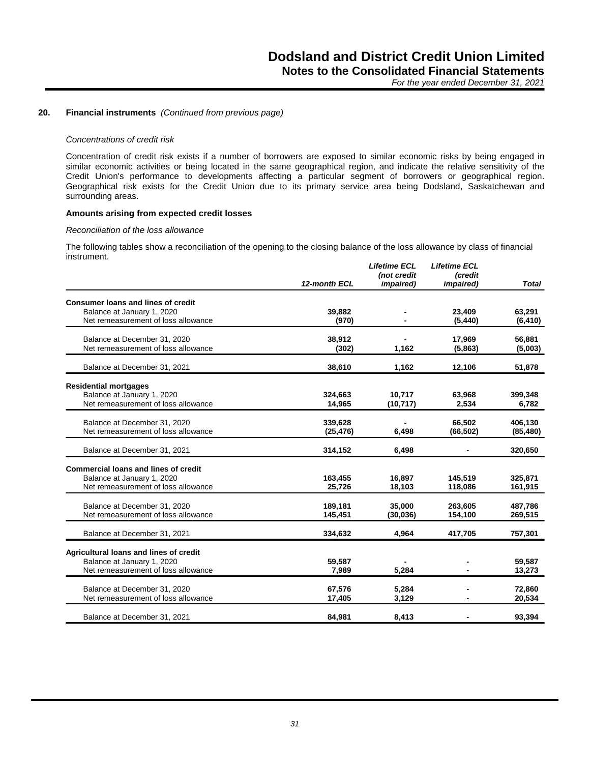## **20. Financial instruments** *(Continued from previous page)*

## *Concentrations of credit risk*

Concentration of credit risk exists if a number of borrowers are exposed to similar economic risks by being engaged in similar economic activities or being located in the same geographical region, and indicate the relative sensitivity of the Credit Union's performance to developments affecting a particular segment of borrowers or geographical region. Geographical risk exists for the Credit Union due to its primary service area being Dodsland, Saskatchewan and surrounding areas.

## **Amounts arising from expected credit losses**

## *Reconciliation of the loss allowance*

The following tables show a reconciliation of the opening to the closing balance of the loss allowance by class of financial instrument.

|                                             |                  | <b>Lifetime ECL</b><br>(not credit | <b>Lifetime ECL</b><br>(credit |                  |
|---------------------------------------------|------------------|------------------------------------|--------------------------------|------------------|
|                                             | 12-month ECL     | <i>impaired</i> )                  | <i>impaired</i> )              | <b>Total</b>     |
| <b>Consumer loans and lines of credit</b>   |                  |                                    |                                |                  |
| Balance at January 1, 2020                  | 39,882           |                                    | 23,409                         | 63,291           |
| Net remeasurement of loss allowance         | (970)            |                                    | (5, 440)                       | (6, 410)         |
|                                             |                  |                                    |                                |                  |
| Balance at December 31, 2020                | 38,912           |                                    | 17,969                         | 56,881           |
| Net remeasurement of loss allowance         | (302)            | 1,162                              | (5,863)                        | (5,003)          |
| Balance at December 31, 2021                | 38,610           | 1,162                              | 12,106                         | 51,878           |
| <b>Residential mortgages</b>                |                  |                                    |                                |                  |
| Balance at January 1, 2020                  | 324,663          | 10,717                             | 63,968                         | 399,348          |
| Net remeasurement of loss allowance         | 14,965           | (10, 717)                          | 2,534                          | 6,782            |
|                                             |                  |                                    |                                |                  |
| Balance at December 31, 2020                | 339,628          |                                    | 66,502                         | 406,130          |
| Net remeasurement of loss allowance         | (25, 476)        | 6,498                              | (66, 502)                      | (85, 480)        |
| Balance at December 31, 2021                | 314,152          | 6,498                              |                                | 320,650          |
| <b>Commercial loans and lines of credit</b> |                  |                                    |                                |                  |
| Balance at January 1, 2020                  | 163,455          | 16,897                             | 145.519                        | 325.871          |
| Net remeasurement of loss allowance         | 25.726           | 18.103                             | 118.086                        | 161,915          |
|                                             |                  |                                    |                                |                  |
| Balance at December 31, 2020                | 189,181          | 35,000                             | 263,605                        | 487,786          |
| Net remeasurement of loss allowance         | 145,451          | (30,036)                           | 154,100                        | 269,515          |
| Balance at December 31, 2021                | 334,632          | 4,964                              | 417,705                        | 757,301          |
| Agricultural loans and lines of credit      |                  |                                    |                                |                  |
| Balance at January 1, 2020                  | 59.587           |                                    |                                | 59.587           |
| Net remeasurement of loss allowance         | 7,989            | 5,284                              |                                | 13,273           |
| Balance at December 31, 2020                |                  |                                    |                                |                  |
| Net remeasurement of loss allowance         | 67,576<br>17,405 | 5,284<br>3,129                     |                                | 72,860<br>20,534 |
|                                             |                  |                                    |                                |                  |
| Balance at December 31, 2021                | 84,981           | 8,413                              |                                | 93,394           |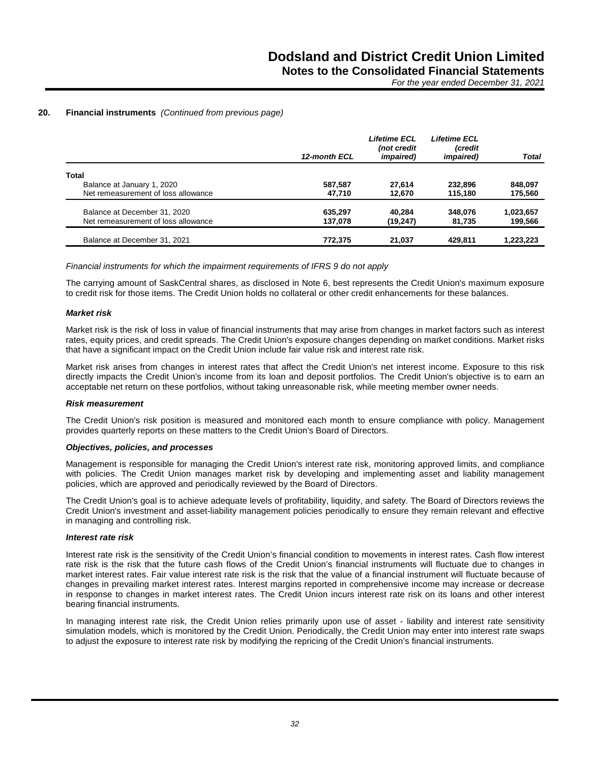## **20. Financial instruments** *(Continued from previous page)*

|                                     | 12-month ECL | <b>Lifetime ECL</b><br>(not credit<br><i>impaired</i> ) | <b>Lifetime ECL</b><br>(credit<br><i>impaired</i> ) | <b>Total</b> |
|-------------------------------------|--------------|---------------------------------------------------------|-----------------------------------------------------|--------------|
| Total                               |              |                                                         |                                                     |              |
| Balance at January 1, 2020          | 587,587      | 27,614                                                  | 232.896                                             | 848,097      |
| Net remeasurement of loss allowance | 47.710       | 12.670                                                  | 115.180                                             | 175,560      |
| Balance at December 31, 2020        | 635,297      | 40.284                                                  | 348,076                                             | 1,023,657    |
| Net remeasurement of loss allowance | 137.078      | (19, 247)                                               | 81.735                                              | 199,566      |
| Balance at December 31, 2021        | 772.375      | 21.037                                                  | 429.811                                             | 1.223.223    |

### *Financial instruments for which the impairment requirements of IFRS 9 do not apply*

The carrying amount of SaskCentral shares, as disclosed in Note 6, best represents the Credit Union's maximum exposure to credit risk for those items. The Credit Union holds no collateral or other credit enhancements for these balances.

## *Market risk*

Market risk is the risk of loss in value of financial instruments that may arise from changes in market factors such as interest rates, equity prices, and credit spreads. The Credit Union's exposure changes depending on market conditions. Market risks that have a significant impact on the Credit Union include fair value risk and interest rate risk.

Market risk arises from changes in interest rates that affect the Credit Union's net interest income. Exposure to this risk directly impacts the Credit Union's income from its loan and deposit portfolios. The Credit Union's objective is to earn an acceptable net return on these portfolios, without taking unreasonable risk, while meeting member owner needs.

## *Risk measurement*

The Credit Union's risk position is measured and monitored each month to ensure compliance with policy. Management provides quarterly reports on these matters to the Credit Union's Board of Directors.

### *Objectives, policies, and processes*

Management is responsible for managing the Credit Union's interest rate risk, monitoring approved limits, and compliance with policies. The Credit Union manages market risk by developing and implementing asset and liability management policies, which are approved and periodically reviewed by the Board of Directors.

The Credit Union's goal is to achieve adequate levels of profitability, liquidity, and safety. The Board of Directors reviews the Credit Union's investment and asset-liability management policies periodically to ensure they remain relevant and effective in managing and controlling risk.

## *Interest rate risk*

Interest rate risk is the sensitivity of the Credit Union's financial condition to movements in interest rates. Cash flow interest rate risk is the risk that the future cash flows of the Credit Union's financial instruments will fluctuate due to changes in market interest rates. Fair value interest rate risk is the risk that the value of a financial instrument will fluctuate because of changes in prevailing market interest rates. Interest margins reported in comprehensive income may increase or decrease in response to changes in market interest rates. The Credit Union incurs interest rate risk on its loans and other interest bearing financial instruments.

In managing interest rate risk, the Credit Union relies primarily upon use of asset - liability and interest rate sensitivity simulation models, which is monitored by the Credit Union. Periodically, the Credit Union may enter into interest rate swaps to adjust the exposure to interest rate risk by modifying the repricing of the Credit Union's financial instruments.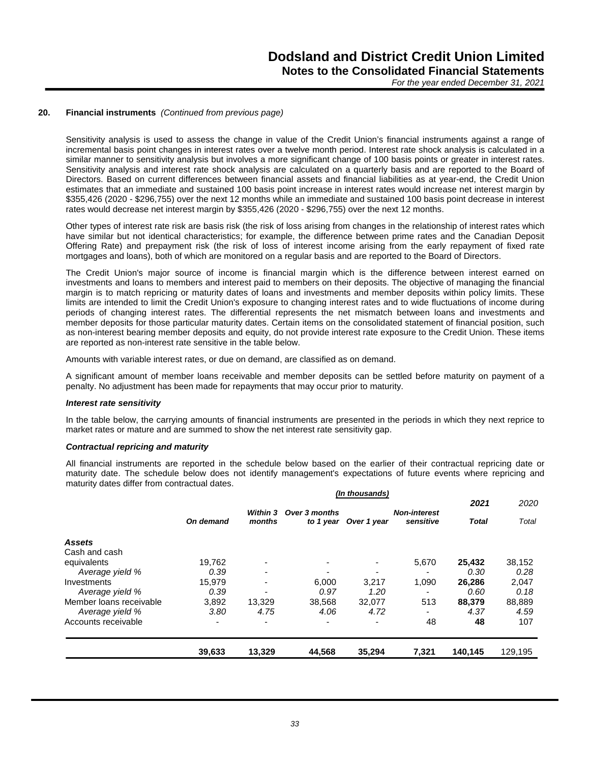## **20. Financial instruments** *(Continued from previous page)*

Sensitivity analysis is used to assess the change in value of the Credit Union's financial instruments against a range of incremental basis point changes in interest rates over a twelve month period. Interest rate shock analysis is calculated in a similar manner to sensitivity analysis but involves a more significant change of 100 basis points or greater in interest rates. Sensitivity analysis and interest rate shock analysis are calculated on a quarterly basis and are reported to the Board of Directors. Based on current differences between financial assets and financial liabilities as at year-end, the Credit Union estimates that an immediate and sustained 100 basis point increase in interest rates would increase net interest margin by \$355,426 (2020 - \$296,755) over the next 12 months while an immediate and sustained 100 basis point decrease in interest rates would decrease net interest margin by \$355,426 (2020 - \$296,755) over the next 12 months.

Other types of interest rate risk are basis risk (the risk of loss arising from changes in the relationship of interest rates which have similar but not identical characteristics; for example, the difference between prime rates and the Canadian Deposit Offering Rate) and prepayment risk (the risk of loss of interest income arising from the early repayment of fixed rate mortgages and loans), both of which are monitored on a regular basis and are reported to the Board of Directors.

The Credit Union's major source of income is financial margin which is the difference between interest earned on investments and loans to members and interest paid to members on their deposits. The objective of managing the financial margin is to match repricing or maturity dates of loans and investments and member deposits within policy limits. These limits are intended to limit the Credit Union's exposure to changing interest rates and to wide fluctuations of income during periods of changing interest rates. The differential represents the net mismatch between loans and investments and member deposits for those particular maturity dates. Certain items on the consolidated statement of financial position, such as non-interest bearing member deposits and equity, do not provide interest rate exposure to the Credit Union. These items are reported as non-interest rate sensitive in the table below.

Amounts with variable interest rates, or due on demand, are classified as on demand.

A significant amount of member loans receivable and member deposits can be settled before maturity on payment of a penalty. No adjustment has been made for repayments that may occur prior to maturity.

## *Interest rate sensitivity*

In the table below, the carrying amounts of financial instruments are presented in the periods in which they next reprice to market rates or mature and are summed to show the net interest rate sensitivity gap.

## *Contractual repricing and maturity*

All financial instruments are reported in the schedule below based on the earlier of their contractual repricing date or maturity date. The schedule below does not identify management's expectations of future events where repricing and maturity dates differ from contractual dates.

|                         | (In thousands) |                          |               |             |                                  |         |         |
|-------------------------|----------------|--------------------------|---------------|-------------|----------------------------------|---------|---------|
|                         |                | Within 3                 | Over 3 months |             |                                  | 2021    | 2020    |
|                         | On demand      | months                   | to 1 year     | Over 1 year | <b>Non-interest</b><br>sensitive | Total   | Total   |
| <b>Assets</b>           |                |                          |               |             |                                  |         |         |
| Cash and cash           |                |                          |               |             |                                  |         |         |
| equivalents             | 19,762         |                          | ٠             |             | 5,670                            | 25,432  | 38,152  |
| Average yield %         | 0.39           |                          |               |             |                                  | 0.30    | 0.28    |
| Investments             | 15.979         |                          | 6,000         | 3.217       | 1,090                            | 26.286  | 2.047   |
| Average yield %         | 0.39           |                          | 0.97          | 1.20        |                                  | 0.60    | 0.18    |
| Member Ioans receivable | 3,892          | 13.329                   | 38,568        | 32.077      | 513                              | 88.379  | 88,889  |
| Average yield %         | 3.80           | 4.75                     | 4.06          | 4.72        |                                  | 4.37    | 4.59    |
| Accounts receivable     |                | $\overline{\phantom{0}}$ |               |             | 48                               | 48      | 107     |
|                         | 39,633         | 13,329                   | 44,568        | 35,294      | 7,321                            | 140,145 | 129,195 |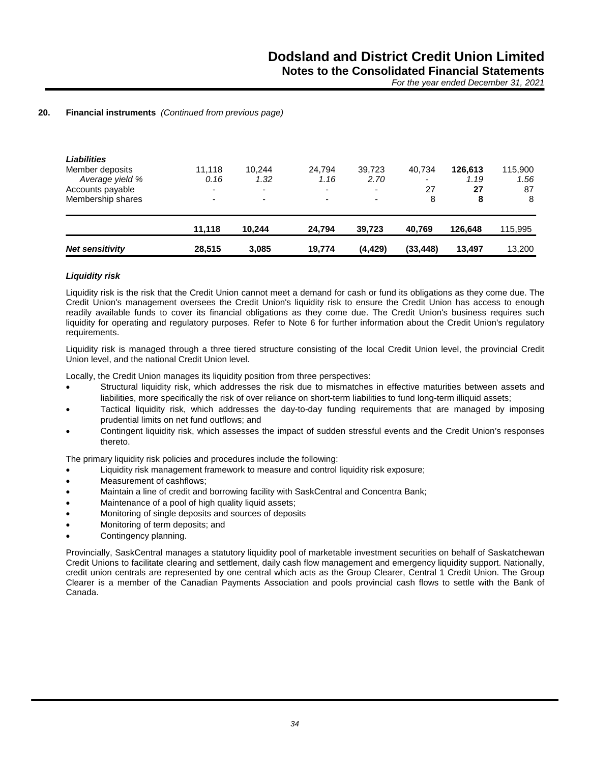## **20. Financial instruments** *(Continued from previous page)*

| <b>Net sensitivity</b>         | 28,515                   | 3,085                    | 19,774                   | (4, 429)                 | (33, 448) | 13.497  | 13,200  |
|--------------------------------|--------------------------|--------------------------|--------------------------|--------------------------|-----------|---------|---------|
|                                | 11.118                   | 10.244                   | 24,794                   | 39.723                   | 40.769    | 126.648 | 115,995 |
| Membership shares              | $\overline{\phantom{0}}$ | $\overline{\phantom{0}}$ | $\overline{\phantom{a}}$ | $\overline{\phantom{a}}$ | 8         | 8       | 8       |
| Accounts payable               | $\overline{\phantom{0}}$ | ٠                        | $\blacksquare$           | ٠                        | 27        | 27      | 87      |
| Average yield %                | 0.16                     | 1.32                     | 1.16                     | 2.70                     | ٠         | 1.19    | 1.56    |
| Liabilities<br>Member deposits | 11.118                   | 10.244                   | 24,794                   | 39,723                   | 40.734    | 126,613 | 115,900 |

## *Liquidity risk*

Liquidity risk is the risk that the Credit Union cannot meet a demand for cash or fund its obligations as they come due. The Credit Union's management oversees the Credit Union's liquidity risk to ensure the Credit Union has access to enough readily available funds to cover its financial obligations as they come due. The Credit Union's business requires such liquidity for operating and regulatory purposes. Refer to Note 6 for further information about the Credit Union's regulatory requirements.

Liquidity risk is managed through a three tiered structure consisting of the local Credit Union level, the provincial Credit Union level, and the national Credit Union level.

Locally, the Credit Union manages its liquidity position from three perspectives:

- Structural liquidity risk, which addresses the risk due to mismatches in effective maturities between assets and liabilities, more specifically the risk of over reliance on short-term liabilities to fund long-term illiquid assets;
- Tactical liquidity risk, which addresses the day-to-day funding requirements that are managed by imposing prudential limits on net fund outflows; and
- Contingent liquidity risk, which assesses the impact of sudden stressful events and the Credit Union's responses thereto.

The primary liquidity risk policies and procedures include the following:

- Liquidity risk management framework to measure and control liquidity risk exposure;
- Measurement of cashflows;
- Maintain a line of credit and borrowing facility with SaskCentral and Concentra Bank;
- Maintenance of a pool of high quality liquid assets;
- Monitoring of single deposits and sources of deposits
- Monitoring of term deposits; and
- Contingency planning.

Provincially, SaskCentral manages a statutory liquidity pool of marketable investment securities on behalf of Saskatchewan Credit Unions to facilitate clearing and settlement, daily cash flow management and emergency liquidity support. Nationally, credit union centrals are represented by one central which acts as the Group Clearer, Central 1 Credit Union. The Group Clearer is a member of the Canadian Payments Association and pools provincial cash flows to settle with the Bank of Canada.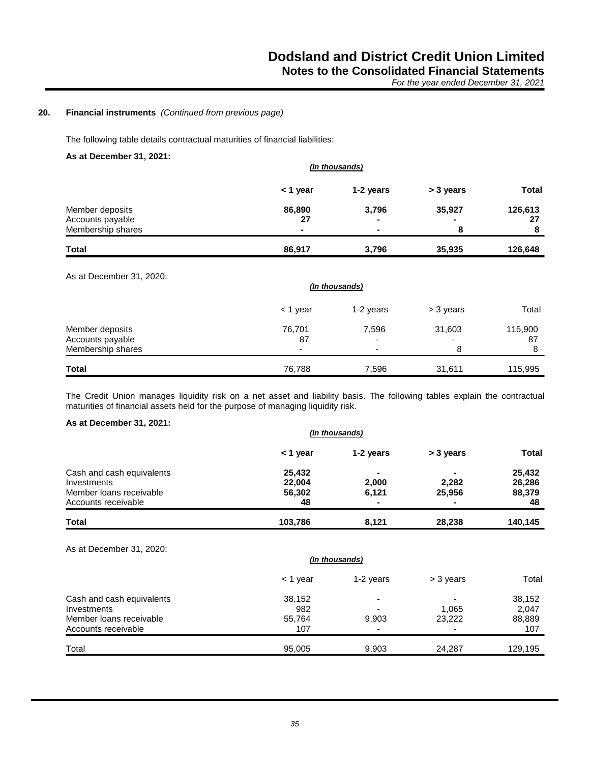## **20. Financial instruments** *(Continued from previous page)*

The following table details contractual maturities of financial liabilities:

## **As at December 31, 2021:**

|                   | (In thousands) |           |                          |              |
|-------------------|----------------|-----------|--------------------------|--------------|
|                   | $<$ 1 year     | 1-2 years | > 3 years                | <b>Total</b> |
| Member deposits   | 86,890         | 3,796     | 35,927                   | 126,613      |
| Accounts payable  | 27             |           | $\overline{\phantom{a}}$ | 27           |
| Membership shares |                | ۰         | 8                        | 8            |
| <b>Total</b>      | 86,917         | 3,796     | 35,935                   | 126.648      |

## As at December 31, 2020:

|                   | (In thousands) |                          |                          |         |
|-------------------|----------------|--------------------------|--------------------------|---------|
|                   | < 1 year       | 1-2 years                | $>$ 3 years              | Total   |
| Member deposits   | 76,701         | 7,596                    | 31,603                   | 115,900 |
| Accounts payable  | 87             | $\overline{\phantom{a}}$ | $\overline{\phantom{a}}$ | 87      |
| Membership shares | -              | $\overline{\phantom{a}}$ | 8                        |         |
| <b>Total</b>      | 76,788         | 7,596                    | 31,611                   | 115,995 |

The Credit Union manages liquidity risk on a net asset and liability basis. The following tables explain the contractual maturities of financial assets held for the purpose of managing liquidity risk.

## **As at December 31, 2021:**

|                           | (In thousands) |           |                |              |
|---------------------------|----------------|-----------|----------------|--------------|
|                           | < 1 year       | 1-2 years | > 3 years      | <b>Total</b> |
| Cash and cash equivalents | 25,432         |           | $\blacksquare$ | 25,432       |
| Investments               | 22,004         | 2,000     | 2,282          | 26,286       |
| Member loans receivable   | 56,302         | 6,121     | 25,956         | 88,379       |
| Accounts receivable       | 48             |           | $\blacksquare$ | 48           |
| <b>Total</b>              | 103,786        | 8,121     | 28,238         | 140.145      |

### As at December 31, 2020:

|                                        | (In thousands) |                          |                          |                 |
|----------------------------------------|----------------|--------------------------|--------------------------|-----------------|
|                                        | $<$ 1 year     | 1-2 years                | $>$ 3 years              | Total           |
| Cash and cash equivalents              | 38,152         | $\overline{\phantom{0}}$ | $\overline{\phantom{0}}$ | 38,152          |
| Investments<br>Member loans receivable | 982<br>55,764  | 9,903                    | 1.065<br>23,222          | 2,047<br>88,889 |
| Accounts receivable                    | 107            |                          |                          | 107             |
| Total                                  | 95.005         | 9,903                    | 24.287                   | 129,195         |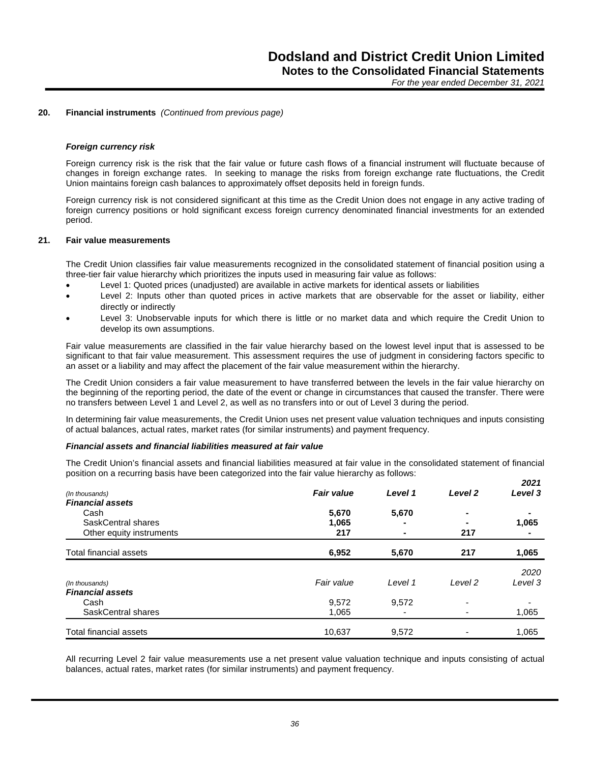## **20. Financial instruments** *(Continued from previous page)*

## *Foreign currency risk*

Foreign currency risk is the risk that the fair value or future cash flows of a financial instrument will fluctuate because of changes in foreign exchange rates. In seeking to manage the risks from foreign exchange rate fluctuations, the Credit Union maintains foreign cash balances to approximately offset deposits held in foreign funds.

Foreign currency risk is not considered significant at this time as the Credit Union does not engage in any active trading of foreign currency positions or hold significant excess foreign currency denominated financial investments for an extended period.

### **21. Fair value measurements**

The Credit Union classifies fair value measurements recognized in the consolidated statement of financial position using a three-tier fair value hierarchy which prioritizes the inputs used in measuring fair value as follows:

- Level 1: Quoted prices (unadjusted) are available in active markets for identical assets or liabilities
- Level 2: Inputs other than quoted prices in active markets that are observable for the asset or liability, either directly or indirectly
- Level 3: Unobservable inputs for which there is little or no market data and which require the Credit Union to develop its own assumptions.

Fair value measurements are classified in the fair value hierarchy based on the lowest level input that is assessed to be significant to that fair value measurement. This assessment requires the use of judgment in considering factors specific to an asset or a liability and may affect the placement of the fair value measurement within the hierarchy.

The Credit Union considers a fair value measurement to have transferred between the levels in the fair value hierarchy on the beginning of the reporting period, the date of the event or change in circumstances that caused the transfer. There were no transfers between Level 1 and Level 2, as well as no transfers into or out of Level 3 during the period.

In determining fair value measurements, the Credit Union uses net present value valuation techniques and inputs consisting of actual balances, actual rates, market rates (for similar instruments) and payment frequency.

### *Financial assets and financial liabilities measured at fair value*

The Credit Union's financial assets and financial liabilities measured at fair value in the consolidated statement of financial position on a recurring basis have been categorized into the fair value hierarchy as follows: *2021*

| (In thousands)<br><b>Financial assets</b><br>Cash | <b>Fair value</b> | Level 1 | Level <sub>2</sub><br>$\blacksquare$ | LVL I<br>Level 3 |  |
|---------------------------------------------------|-------------------|---------|--------------------------------------|------------------|--|
|                                                   | 5,670             | 5,670   |                                      |                  |  |
| SaskCentral shares                                | 1,065             |         |                                      | 1,065            |  |
| Other equity instruments                          | 217               |         | 217                                  |                  |  |
| Total financial assets                            | 6,952             | 5,670   | 217                                  | 1,065            |  |
|                                                   |                   |         |                                      | 2020             |  |
| (In thousands)                                    | Fair value        | Level 1 | Level 2                              | Level 3          |  |
| <b>Financial assets</b>                           |                   |         |                                      |                  |  |
| Cash                                              | 9.572             | 9,572   | ۰                                    |                  |  |
| SaskCentral shares                                | 1,065             |         |                                      | 1,065            |  |
| Total financial assets                            | 10.637            | 9.572   | ۰                                    | 1,065            |  |

All recurring Level 2 fair value measurements use a net present value valuation technique and inputs consisting of actual balances, actual rates, market rates (for similar instruments) and payment frequency.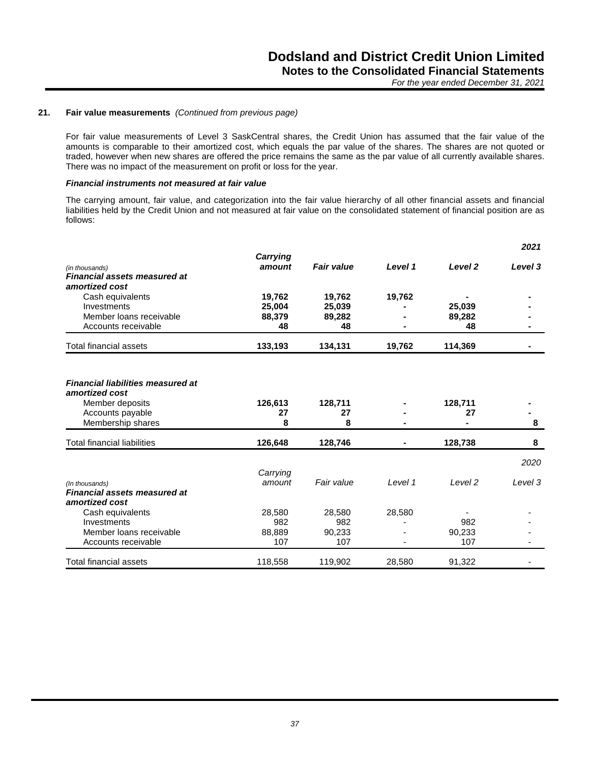## **21. Fair value measurements** *(Continued from previous page)*

For fair value measurements of Level 3 SaskCentral shares, the Credit Union has assumed that the fair value of the amounts is comparable to their amortized cost, which equals the par value of the shares. The shares are not quoted or traded, however when new shares are offered the price remains the same as the par value of all currently available shares. There was no impact of the measurement on profit or loss for the year.

## *Financial instruments not measured at fair value*

The carrying amount, fair value, and categorization into the fair value hierarchy of all other financial assets and financial liabilities held by the Credit Union and not measured at fair value on the consolidated statement of financial position are as follows:

|                                                                                                   |                    |                   |         |               | 2021    |
|---------------------------------------------------------------------------------------------------|--------------------|-------------------|---------|---------------|---------|
| (in thousands)                                                                                    | Carrying<br>amount | <b>Fair value</b> | Level 1 | Level 2       | Level 3 |
| <b>Financial assets measured at</b>                                                               |                    |                   |         |               |         |
| amortized cost                                                                                    |                    |                   |         |               |         |
| Cash equivalents                                                                                  | 19,762             | 19,762            | 19,762  |               |         |
| Investments                                                                                       | 25,004             | 25,039            |         | 25,039        |         |
| Member loans receivable                                                                           | 88,379             | 89,282            |         | 89,282        |         |
| Accounts receivable                                                                               | 48                 | 48                |         | 48            |         |
| Total financial assets                                                                            | 133,193            | 134,131           | 19,762  | 114,369       |         |
| <b>Financial liabilities measured at</b><br>amortized cost<br>Member deposits<br>Accounts payable | 126,613<br>27      | 128,711<br>27     |         | 128,711<br>27 |         |
| Membership shares                                                                                 | 8                  | 8                 |         |               | 8       |
| <b>Total financial liabilities</b>                                                                | 126,648            | 128,746           |         | 128,738       | 8       |
|                                                                                                   |                    |                   |         |               | 2020    |
|                                                                                                   | Carrying           |                   |         |               |         |
| (In thousands)                                                                                    | amount             | Fair value        | Level 1 | Level 2       | Level 3 |
| <b>Financial assets measured at</b>                                                               |                    |                   |         |               |         |
| amortized cost                                                                                    |                    |                   |         |               |         |
| Cash equivalents                                                                                  | 28,580             | 28,580            | 28,580  |               |         |
| Investments                                                                                       | 982                | 982               |         | 982           |         |
| Member loans receivable                                                                           | 88,889             | 90,233            |         | 90,233        |         |
| Accounts receivable                                                                               | 107                | 107               |         | 107           |         |
| <b>Total financial assets</b>                                                                     | 118,558            | 119,902           | 28,580  | 91,322        |         |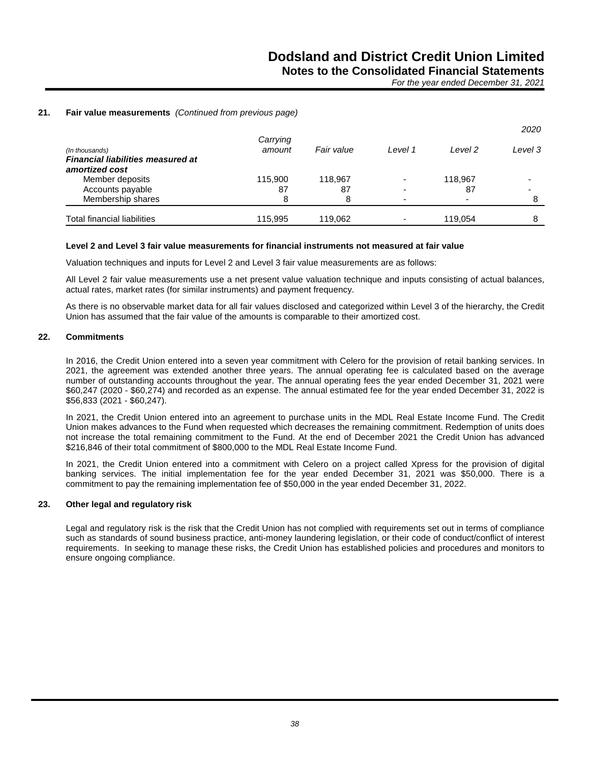## **21. Fair value measurements** *(Continued from previous page)*

| (In thousands)<br><b>Financial liabilities measured at</b> |                    |            | Level 1 |         | 2020<br>Level 3 |
|------------------------------------------------------------|--------------------|------------|---------|---------|-----------------|
|                                                            | Carrying<br>amount | Fair value |         | Level 2 |                 |
| amortized cost                                             |                    |            |         |         |                 |
| Member deposits                                            | 115,900            | 118,967    |         | 118.967 |                 |
| Accounts payable                                           | 87                 | 87         |         | 87      |                 |
| Membership shares                                          | 8                  | 8          |         |         | 8               |
| <b>Total financial liabilities</b>                         | 115.995            | 119.062    |         | 119.054 | 8               |

### **Level 2 and Level 3 fair value measurements for financial instruments not measured at fair value**

Valuation techniques and inputs for Level 2 and Level 3 fair value measurements are as follows:

All Level 2 fair value measurements use a net present value valuation technique and inputs consisting of actual balances, actual rates, market rates (for similar instruments) and payment frequency.

As there is no observable market data for all fair values disclosed and categorized within Level 3 of the hierarchy, the Credit Union has assumed that the fair value of the amounts is comparable to their amortized cost.

## **22. Commitments**

In 2016, the Credit Union entered into a seven year commitment with Celero for the provision of retail banking services. In 2021, the agreement was extended another three years. The annual operating fee is calculated based on the average number of outstanding accounts throughout the year. The annual operating fees the year ended December 31, 2021 were \$60,247 (2020 - \$60,274) and recorded as an expense. The annual estimated fee for the year ended December 31, 2022 is \$56,833 (2021 - \$60,247).

In 2021, the Credit Union entered into an agreement to purchase units in the MDL Real Estate Income Fund. The Credit Union makes advances to the Fund when requested which decreases the remaining commitment. Redemption of units does not increase the total remaining commitment to the Fund. At the end of December 2021 the Credit Union has advanced \$216,846 of their total commitment of \$800,000 to the MDL Real Estate Income Fund.

In 2021, the Credit Union entered into a commitment with Celero on a project called Xpress for the provision of digital banking services. The initial implementation fee for the year ended December 31, 2021 was \$50,000. There is a commitment to pay the remaining implementation fee of \$50,000 in the year ended December 31, 2022.

## **23. Other legal and regulatory risk**

Legal and regulatory risk is the risk that the Credit Union has not complied with requirements set out in terms of compliance such as standards of sound business practice, anti-money laundering legislation, or their code of conduct/conflict of interest requirements. In seeking to manage these risks, the Credit Union has established policies and procedures and monitors to ensure ongoing compliance.